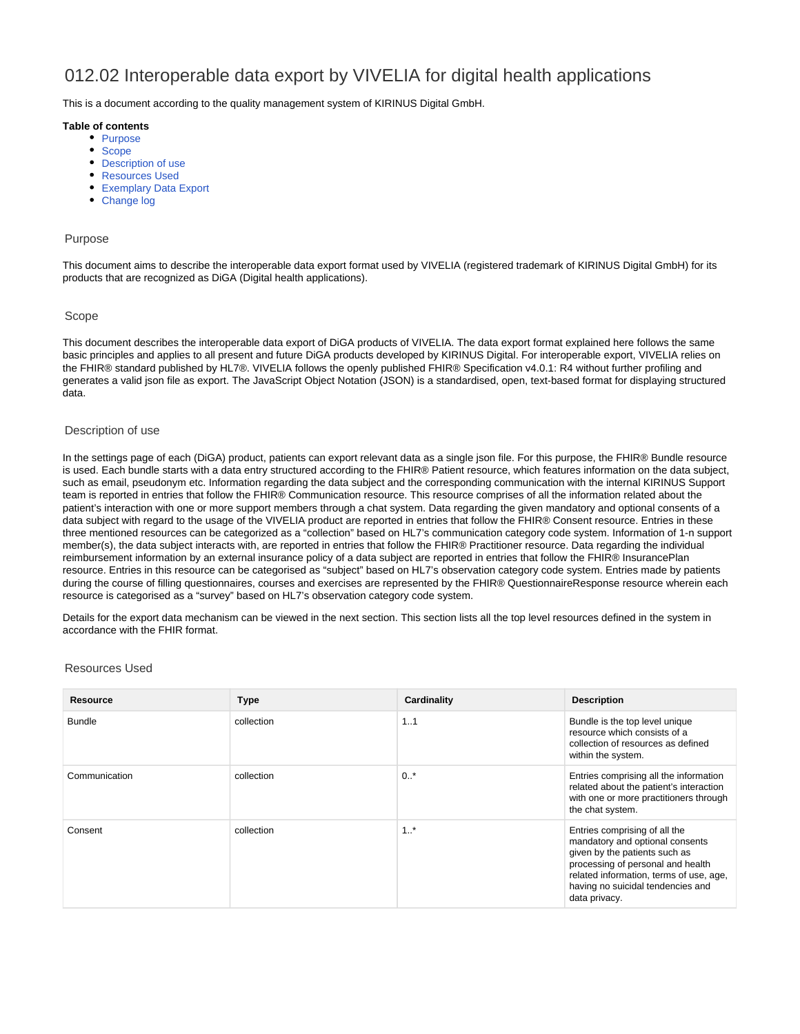# 012.02 Interoperable data export by VIVELIA for digital health applications

This is a document according to the quality management system of KIRINUS Digital GmbH.

#### **Table of contents**

- [Purpose](#page-0-0)
- [Scope](#page-0-1)
- [Description of use](#page-0-2)
- [Resources Used](#page-0-3)
- [Exemplary Data Export](#page-1-0)
- [Change log](#page-42-0)

#### <span id="page-0-0"></span>Purpose

This document aims to describe the interoperable data export format used by VIVELIA (registered trademark of KIRINUS Digital GmbH) for its products that are recognized as DiGA (Digital health applications).

#### <span id="page-0-1"></span>Scope

This document describes the interoperable data export of DiGA products of VIVELIA. The data export format explained here follows the same basic principles and applies to all present and future DiGA products developed by KIRINUS Digital. For interoperable export, VIVELIA relies on the FHIR® standard published by HL7®. VIVELIA follows the openly published FHIR® Specification v4.0.1: R4 without further profiling and generates a valid json file as export. The JavaScript Object Notation (JSON) is a standardised, open, text-based format for displaying structured data.

#### <span id="page-0-2"></span>Description of use

In the settings page of each (DiGA) product, patients can export relevant data as a single json file. For this purpose, the FHIR® Bundle resource is used. Each bundle starts with a data entry structured according to the FHIR® Patient resource, which features information on the data subject, such as email, pseudonym etc. Information regarding the data subject and the corresponding communication with the internal KIRINUS Support team is reported in entries that follow the FHIR® Communication resource. This resource comprises of all the information related about the patient's interaction with one or more support members through a chat system. Data regarding the given mandatory and optional consents of a data subject with regard to the usage of the VIVELIA product are reported in entries that follow the FHIR® Consent resource. Entries in these three mentioned resources can be categorized as a "collection" based on HL7's communication category code system. Information of 1-n support member(s), the data subject interacts with, are reported in entries that follow the FHIR® Practitioner resource. Data regarding the individual reimbursement information by an external insurance policy of a data subject are reported in entries that follow the FHIR® InsurancePlan resource. Entries in this resource can be categorised as "subject" based on HL7's observation category code system. Entries made by patients during the course of filling questionnaires, courses and exercises are represented by the FHIR® QuestionnaireResponse resource wherein each resource is categorised as a "survey" based on HL7's observation category code system.

Details for the export data mechanism can be viewed in the next section. This section lists all the top level resources defined in the system in accordance with the FHIR format.

#### <span id="page-0-3"></span>Resources Used

| Resource      | <b>Type</b> | Cardinality       | <b>Description</b>                                                                                                                                                                                                                      |
|---------------|-------------|-------------------|-----------------------------------------------------------------------------------------------------------------------------------------------------------------------------------------------------------------------------------------|
| <b>Bundle</b> | collection  | 1.1               | Bundle is the top level unique<br>resource which consists of a<br>collection of resources as defined<br>within the system.                                                                                                              |
| Communication | collection  | $0.$ *            | Entries comprising all the information<br>related about the patient's interaction<br>with one or more practitioners through<br>the chat system.                                                                                         |
| Consent       | collection  | $1.$ <sup>*</sup> | Entries comprising of all the<br>mandatory and optional consents<br>given by the patients such as<br>processing of personal and health<br>related information, terms of use, age,<br>having no suicidal tendencies and<br>data privacy. |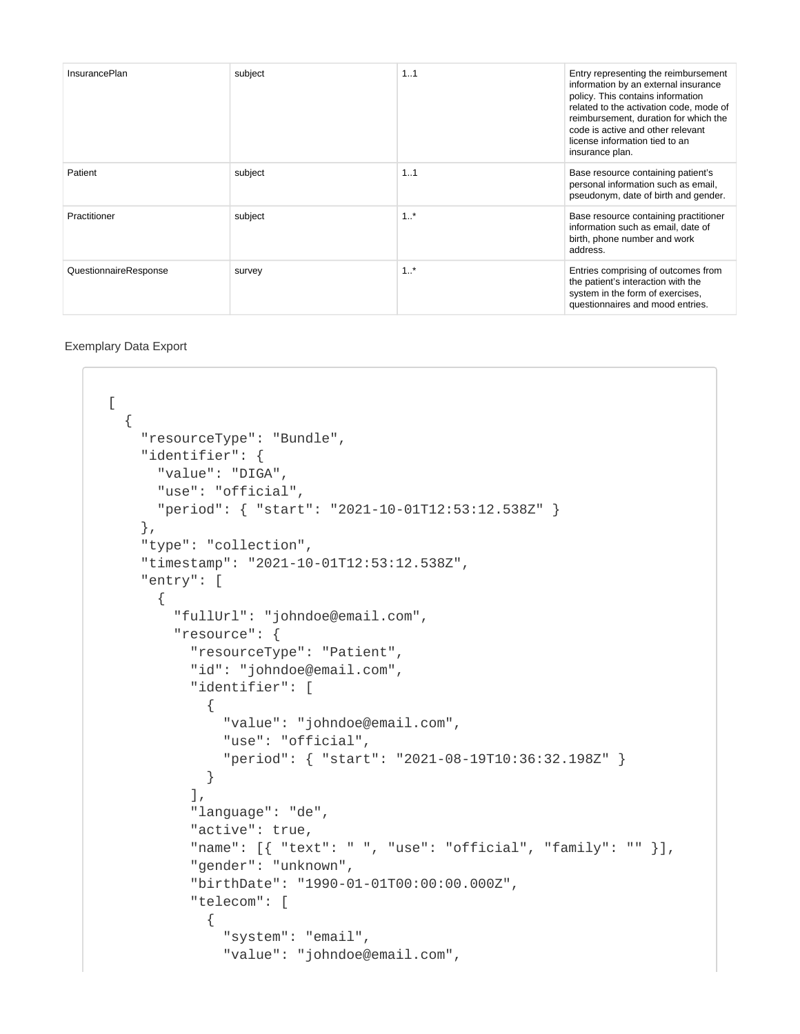| <b>InsurancePlan</b>  | subject | 1.1               | Entry representing the reimbursement<br>information by an external insurance<br>policy. This contains information<br>related to the activation code, mode of<br>reimbursement, duration for which the<br>code is active and other relevant<br>license information tied to an<br>insurance plan. |
|-----------------------|---------|-------------------|-------------------------------------------------------------------------------------------------------------------------------------------------------------------------------------------------------------------------------------------------------------------------------------------------|
| Patient               | subject | 1.1               | Base resource containing patient's<br>personal information such as email,<br>pseudonym, date of birth and gender.                                                                                                                                                                               |
| Practitioner          | subject | 1.7               | Base resource containing practitioner<br>information such as email, date of<br>birth, phone number and work<br>address.                                                                                                                                                                         |
| QuestionnaireResponse | survey  | $1.$ <sup>*</sup> | Entries comprising of outcomes from<br>the patient's interaction with the<br>system in the form of exercises,<br>questionnaires and mood entries.                                                                                                                                               |

### <span id="page-1-0"></span>Exemplary Data Export

```
[
   {
     "resourceType": "Bundle",
     "identifier": {
       "value": "DIGA",
       "use": "official",
      "period": { "start": "2021-10-01T12:53:12.538Z" }
     },
     "type": "collection",
     "timestamp": "2021-10-01T12:53:12.538Z",
     "entry": [
       {
         "fullUrl": "johndoe@email.com",
         "resource": {
           "resourceType": "Patient",
           "id": "johndoe@email.com",
           "identifier": [
\{ "value": "johndoe@email.com",
               "use": "official",
               "period": { "start": "2021-08-19T10:36:32.198Z" }
 }
          \lbrack,
           "language": "de",
           "active": true,
           "name": [{ "text": " ", "use": "official", "family": "" }],
           "gender": "unknown",
           "birthDate": "1990-01-01T00:00:00.000Z",
           "telecom": [
             {
               "system": "email",
               "value": "johndoe@email.com",
```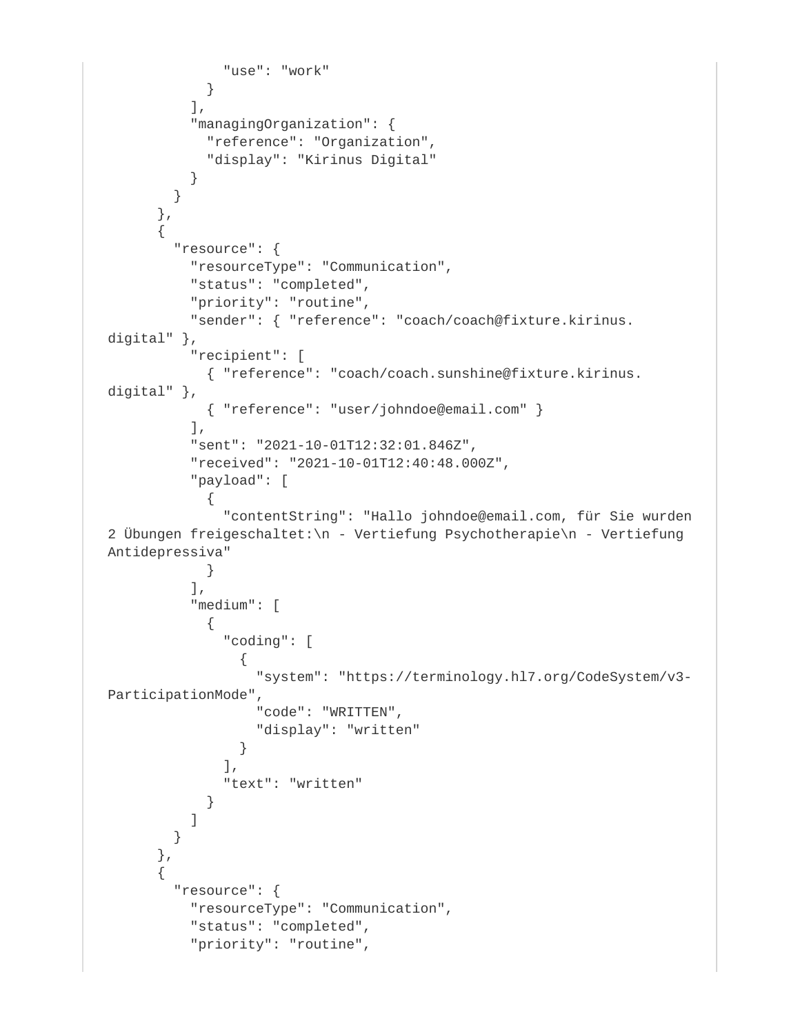```
 "use": "work"
 }
         \cdot "managingOrganization": {
            "reference": "Organization",
            "display": "Kirinus Digital"
          }
        }
       },
\{ "resource": {
          "resourceType": "Communication",
          "status": "completed",
          "priority": "routine",
          "sender": { "reference": "coach/coach@fixture.kirinus.
digital" },
          "recipient": [
            { "reference": "coach/coach.sunshine@fixture.kirinus.
digital" },
            { "reference": "user/johndoe@email.com" }
          ],
          "sent": "2021-10-01T12:32:01.846Z",
          "received": "2021-10-01T12:40:48.000Z",
          "payload": [
\{ "contentString": "Hallo johndoe@email.com, für Sie wurden 
2 Übungen freigeschaltet:\n - Vertiefung Psychotherapie\n - Vertiefung 
Antidepressiva"
 }
          ],
          "medium": [
\{ "coding": [
\{ "system": "https://terminology.hl7.org/CodeSystem/v3-
ParticipationMode",
                  "code": "WRITTEN",
                  "display": "written"
 }
              ],
              "text": "written"
 }
 ]
        }
      },
\{ "resource": {
          "resourceType": "Communication",
          "status": "completed",
          "priority": "routine",
```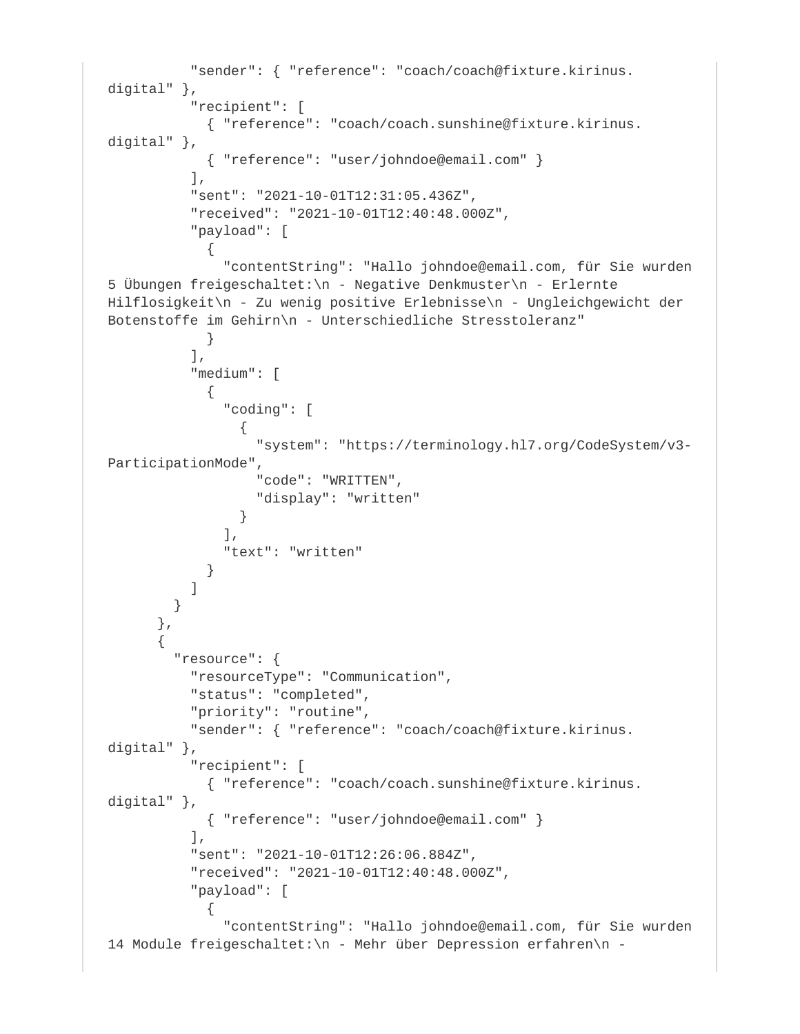```
 "sender": { "reference": "coach/coach@fixture.kirinus.
digital" },
           "recipient": [
            { "reference": "coach/coach.sunshine@fixture.kirinus.
digital" },
            { "reference": "user/johndoe@email.com" }
          \cdot "sent": "2021-10-01T12:31:05.436Z",
           "received": "2021-10-01T12:40:48.000Z",
           "payload": [
\{ "contentString": "Hallo johndoe@email.com, für Sie wurden 
5 Übungen freigeschaltet:\n - Negative Denkmuster\n - Erlernte 
Hilflosigkeit\n - Zu wenig positive Erlebnisse\n - Ungleichgewicht der 
Botenstoffe im Gehirn\n - Unterschiedliche Stresstoleranz"
 }
          \frac{1}{2},
           "medium": [
\{ "coding": [
\{ "system": "https://terminology.hl7.org/CodeSystem/v3-
ParticipationMode",
                   "code": "WRITTEN",
                  "display": "written"
 }
              \Gamma,
               "text": "written"
 }
 ]
        }
       },
\{ "resource": {
           "resourceType": "Communication",
           "status": "completed",
           "priority": "routine",
           "sender": { "reference": "coach/coach@fixture.kirinus.
digital" },
           "recipient": [
            { "reference": "coach/coach.sunshine@fixture.kirinus.
digital" },
             { "reference": "user/johndoe@email.com" }
          \left| \right|,
           "sent": "2021-10-01T12:26:06.884Z",
           "received": "2021-10-01T12:40:48.000Z",
           "payload": [
\{ "contentString": "Hallo johndoe@email.com, für Sie wurden 
14 Module freigeschaltet:\n - Mehr über Depression erfahren\n -
```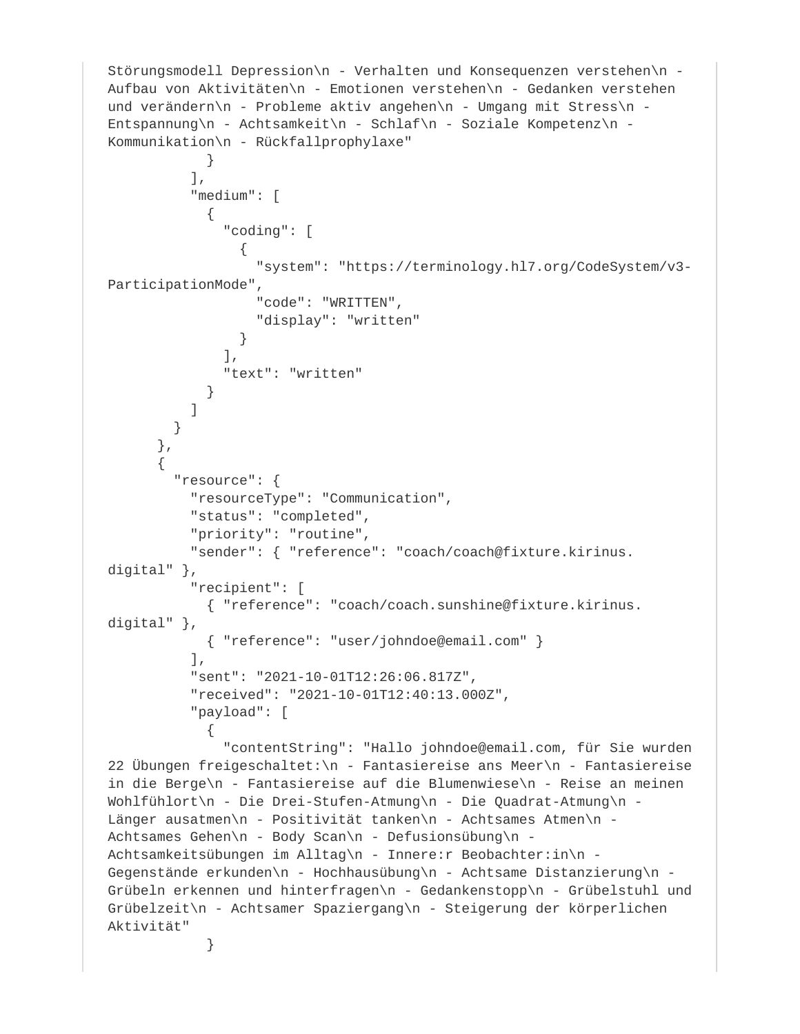```
Störungsmodell Depression\n - Verhalten und Konsequenzen verstehen\n - 
Aufbau von Aktivitäten\n - Emotionen verstehen\n - Gedanken verstehen 
und verändern\n - Probleme aktiv angehen\n - Umgang mit Stress\n - 
Entspannung\n - Achtsamkeit\n - Schlaf\n - Soziale Kompetenz\n - 
Kommunikation\n - Rückfallprophylaxe"
 }
           ],
           "medium": [
\{ "coding": [
\{ "system": "https://terminology.hl7.org/CodeSystem/v3-
ParticipationMode",
                  "code": "WRITTEN",
                  "display": "written"
 }
             \cdot "text": "written"
 }
 ]
        }
      },
\{ "resource": {
          "resourceType": "Communication",
           "status": "completed",
          "priority": "routine",
           "sender": { "reference": "coach/coach@fixture.kirinus.
digital" },
          "recipient": [
            { "reference": "coach/coach.sunshine@fixture.kirinus.
digital" },
            { "reference": "user/johndoe@email.com" }
         \,],
          "sent": "2021-10-01T12:26:06.817Z",
           "received": "2021-10-01T12:40:13.000Z",
          "payload": [
\{ "contentString": "Hallo johndoe@email.com, für Sie wurden 
22 Übungen freigeschaltet:\n- Fantasiereise ans Meer\n- Fantasiereise
in die Berge\n - Fantasiereise auf die Blumenwiese\n - Reise an meinen 
Wohlfühlort\n - Die Drei-Stufen-Atmung\n - Die Quadrat-Atmung\n - 
Länger ausatmen\n - Positivität tanken\n - Achtsames Atmen\n - 
Achtsames Gehen\n - Body Scan\n - Defusionsübung\n - 
Achtsamkeitsübungen im Alltag\n - Innere:r Beobachter:in\n - 
Gegenstände erkunden\n - Hochhausübung\n - Achtsame Distanzierung\n - 
Grübeln erkennen und hinterfragen\n - Gedankenstopp\n - Grübelstuhl und 
Grübelzeit\n - Achtsamer Spaziergang\n - Steigerung der körperlichen 
Aktivität"
 }
```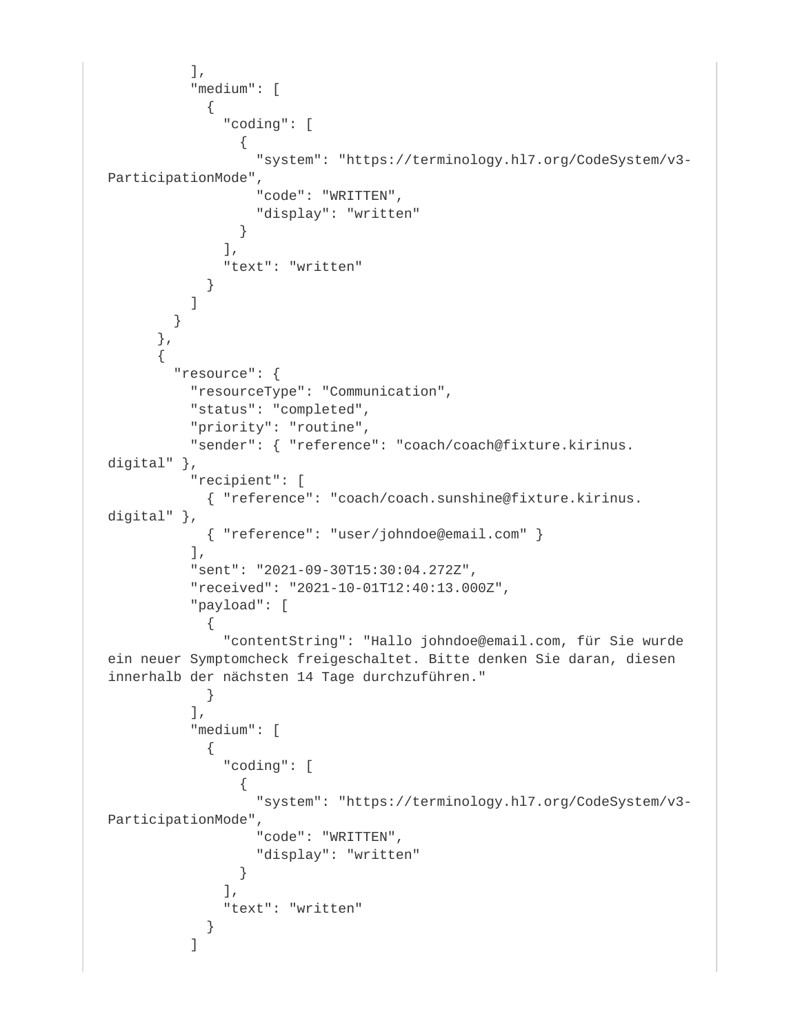```
 ],
          "medium": [
\{ "coding": [
{
                  "system": "https://terminology.hl7.org/CodeSystem/v3-
ParticipationMode",
                  "code": "WRITTEN",
                  "display": "written"
 }
              ],
              "text": "written"
 }
          ]
        }
      },
\{ "resource": {
          "resourceType": "Communication",
          "status": "completed",
          "priority": "routine",
          "sender": { "reference": "coach/coach@fixture.kirinus.
digital" },
          "recipient": [
            { "reference": "coach/coach.sunshine@fixture.kirinus.
digital" },
            { "reference": "user/johndoe@email.com" }
         \left| \right|,
          "sent": "2021-09-30T15:30:04.272Z",
          "received": "2021-10-01T12:40:13.000Z",
          "payload": [
\{ "contentString": "Hallo johndoe@email.com, für Sie wurde 
ein neuer Symptomcheck freigeschaltet. Bitte denken Sie daran, diesen 
innerhalb der nächsten 14 Tage durchzuführen."
 }
         \frac{1}{2},
          "medium": [
\{ "coding": [
\{ "system": "https://terminology.hl7.org/CodeSystem/v3-
ParticipationMode",
                  "code": "WRITTEN",
                  "display": "written"
 }
              ],
              "text": "written"
 }
 ]
```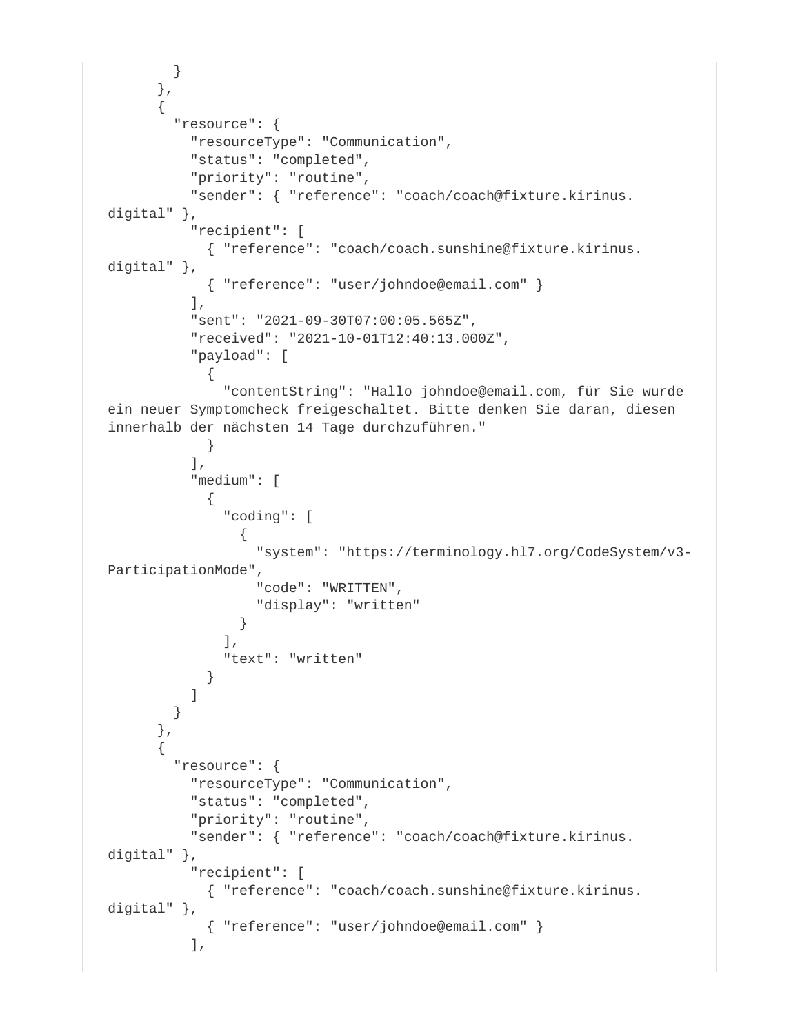```
 }
       },
\{ "resource": {
           "resourceType": "Communication",
           "status": "completed",
           "priority": "routine",
           "sender": { "reference": "coach/coach@fixture.kirinus.
digital" },
           "recipient": [
            { "reference": "coach/coach.sunshine@fixture.kirinus.
digital" },
             { "reference": "user/johndoe@email.com" }
          \,],
           "sent": "2021-09-30T07:00:05.565Z",
           "received": "2021-10-01T12:40:13.000Z",
           "payload": [
\{ "contentString": "Hallo johndoe@email.com, für Sie wurde 
ein neuer Symptomcheck freigeschaltet. Bitte denken Sie daran, diesen 
innerhalb der nächsten 14 Tage durchzuführen."
 }
          \lbrack,
           "medium": [
\{ "coding": [
\{ "system": "https://terminology.hl7.org/CodeSystem/v3-
ParticipationMode",
                  "code": "WRITTEN",
                  "display": "written"
 }
               ],
               "text": "written"
 }
 ]
        }
       },
\{ "resource": {
           "resourceType": "Communication",
           "status": "completed",
           "priority": "routine",
           "sender": { "reference": "coach/coach@fixture.kirinus.
digital" },
           "recipient": [
            { "reference": "coach/coach.sunshine@fixture.kirinus.
digital" },
            { "reference": "user/johndoe@email.com" }
          \,],
```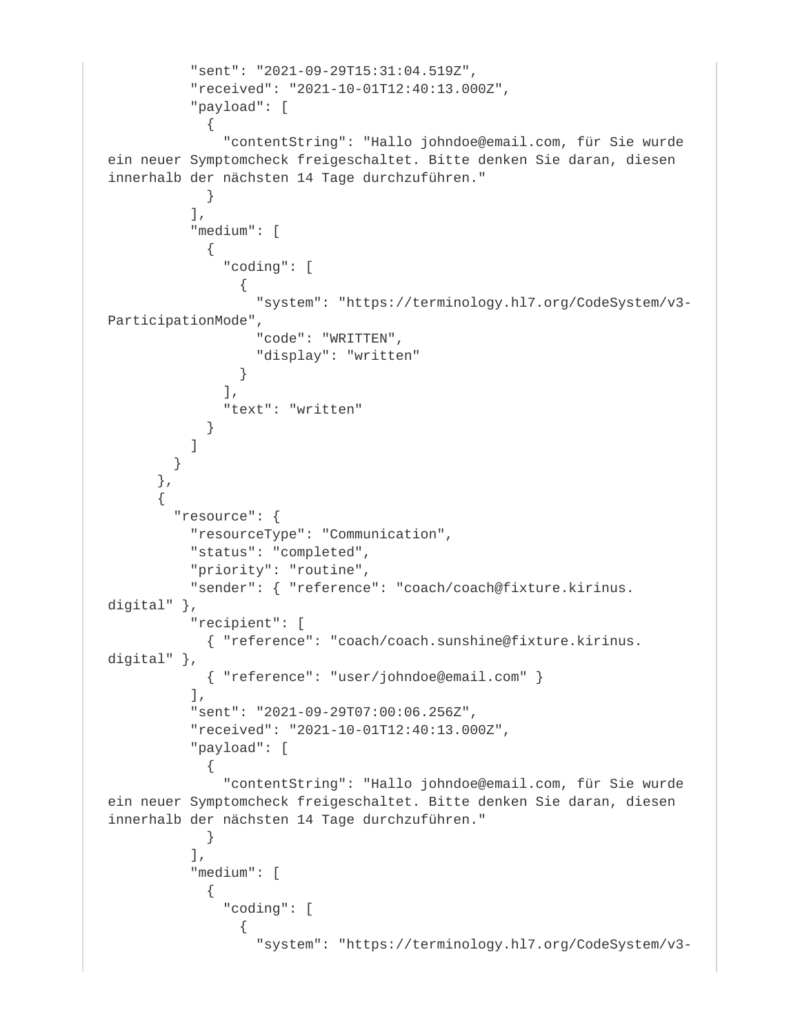```
 "sent": "2021-09-29T15:31:04.519Z",
          "received": "2021-10-01T12:40:13.000Z",
          "payload": [
\{ "contentString": "Hallo johndoe@email.com, für Sie wurde 
ein neuer Symptomcheck freigeschaltet. Bitte denken Sie daran, diesen 
innerhalb der nächsten 14 Tage durchzuführen."
 }
          ],
          "medium": [
\{ "coding": [
\{ "system": "https://terminology.hl7.org/CodeSystem/v3-
ParticipationMode",
                  "code": "WRITTEN",
                  "display": "written"
 }
             \,],
              "text": "written"
 }
 ]
        }
      },
\{ "resource": {
          "resourceType": "Communication",
          "status": "completed",
          "priority": "routine",
          "sender": { "reference": "coach/coach@fixture.kirinus.
digital" },
          "recipient": [
            { "reference": "coach/coach.sunshine@fixture.kirinus.
digital" },
            { "reference": "user/johndoe@email.com" }
          ],
          "sent": "2021-09-29T07:00:06.256Z",
          "received": "2021-10-01T12:40:13.000Z",
          "payload": [
\{ "contentString": "Hallo johndoe@email.com, für Sie wurde 
ein neuer Symptomcheck freigeschaltet. Bitte denken Sie daran, diesen 
innerhalb der nächsten 14 Tage durchzuführen."
 }
          ],
          "medium": [
\{ "coding": [
\{ "system": "https://terminology.hl7.org/CodeSystem/v3-
```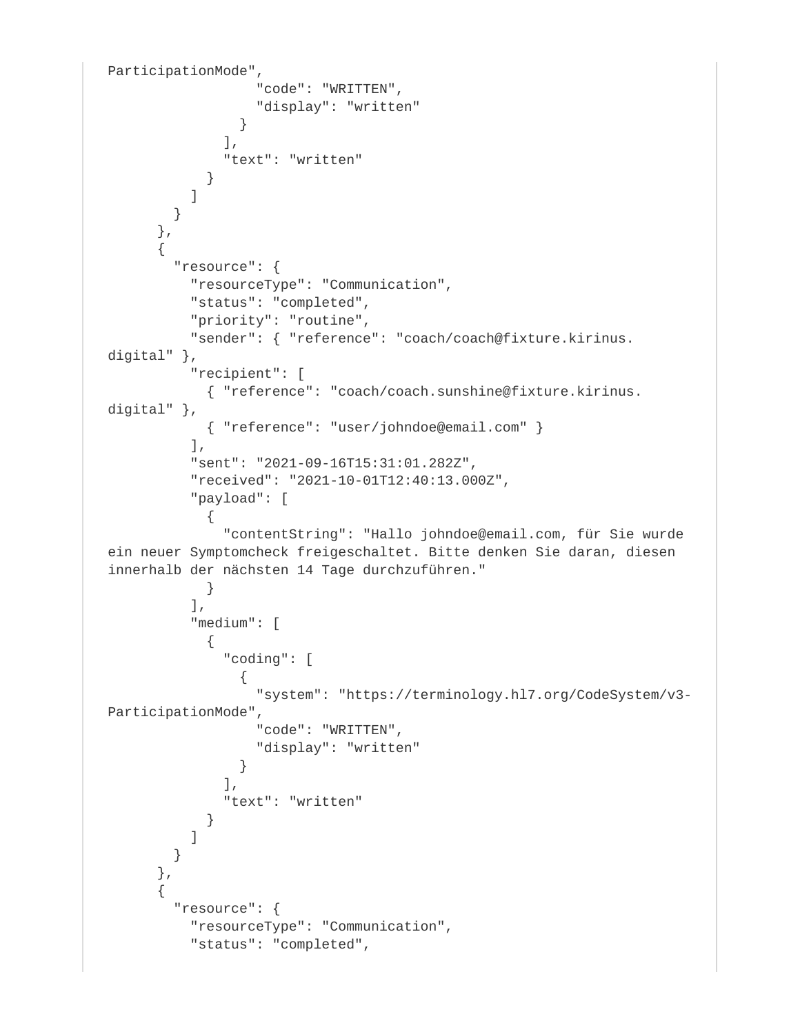```
ParticipationMode",
                  "code": "WRITTEN",
                  "display": "written"
 }
              ],
              "text": "written"
 }
          ]
        }
      },
\{ "resource": {
          "resourceType": "Communication",
          "status": "completed",
          "priority": "routine",
          "sender": { "reference": "coach/coach@fixture.kirinus.
digital" },
          "recipient": [
            { "reference": "coach/coach.sunshine@fixture.kirinus.
digital" },
            { "reference": "user/johndoe@email.com" }
         \cdot "sent": "2021-09-16T15:31:01.282Z",
          "received": "2021-10-01T12:40:13.000Z",
          "payload": [
\{ "contentString": "Hallo johndoe@email.com, für Sie wurde 
ein neuer Symptomcheck freigeschaltet. Bitte denken Sie daran, diesen 
innerhalb der nächsten 14 Tage durchzuführen."
 }
         \cdot "medium": [
\{ "coding": [
{
                  "system": "https://terminology.hl7.org/CodeSystem/v3-
ParticipationMode",
                  "code": "WRITTEN",
                  "display": "written"
 }
             \Gamma,
              "text": "written"
 }
 ]
        }
      },
\{ "resource": {
          "resourceType": "Communication",
          "status": "completed",
```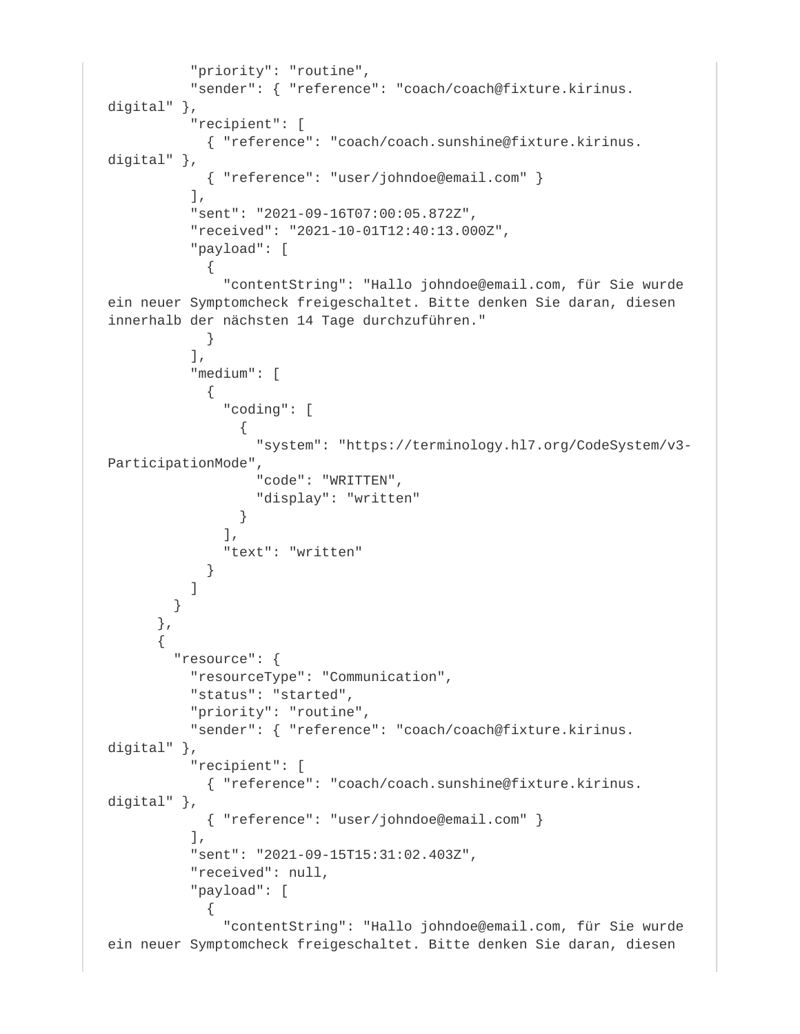```
 "priority": "routine",
           "sender": { "reference": "coach/coach@fixture.kirinus.
digital" },
           "recipient": [
             { "reference": "coach/coach.sunshine@fixture.kirinus.
digital" },
            { "reference": "user/johndoe@email.com" }
          \cdot "sent": "2021-09-16T07:00:05.872Z",
           "received": "2021-10-01T12:40:13.000Z",
           "payload": [
\{ "contentString": "Hallo johndoe@email.com, für Sie wurde 
ein neuer Symptomcheck freigeschaltet. Bitte denken Sie daran, diesen 
innerhalb der nächsten 14 Tage durchzuführen."
 }
          \frac{1}{2},
           "medium": [
\{ "coding": [
\{ "system": "https://terminology.hl7.org/CodeSystem/v3-
ParticipationMode",
                   "code": "WRITTEN",
                  "display": "written"
 }
              \Gamma,
               "text": "written"
 }
 ]
         }
       },
\{ "resource": {
           "resourceType": "Communication",
           "status": "started",
           "priority": "routine",
           "sender": { "reference": "coach/coach@fixture.kirinus.
digital" },
           "recipient": [
            { "reference": "coach/coach.sunshine@fixture.kirinus.
digital" },
             { "reference": "user/johndoe@email.com" }
          \left| \right|,
           "sent": "2021-09-15T15:31:02.403Z",
           "received": null,
           "payload": [
\{ "contentString": "Hallo johndoe@email.com, für Sie wurde 
ein neuer Symptomcheck freigeschaltet. Bitte denken Sie daran, diesen
```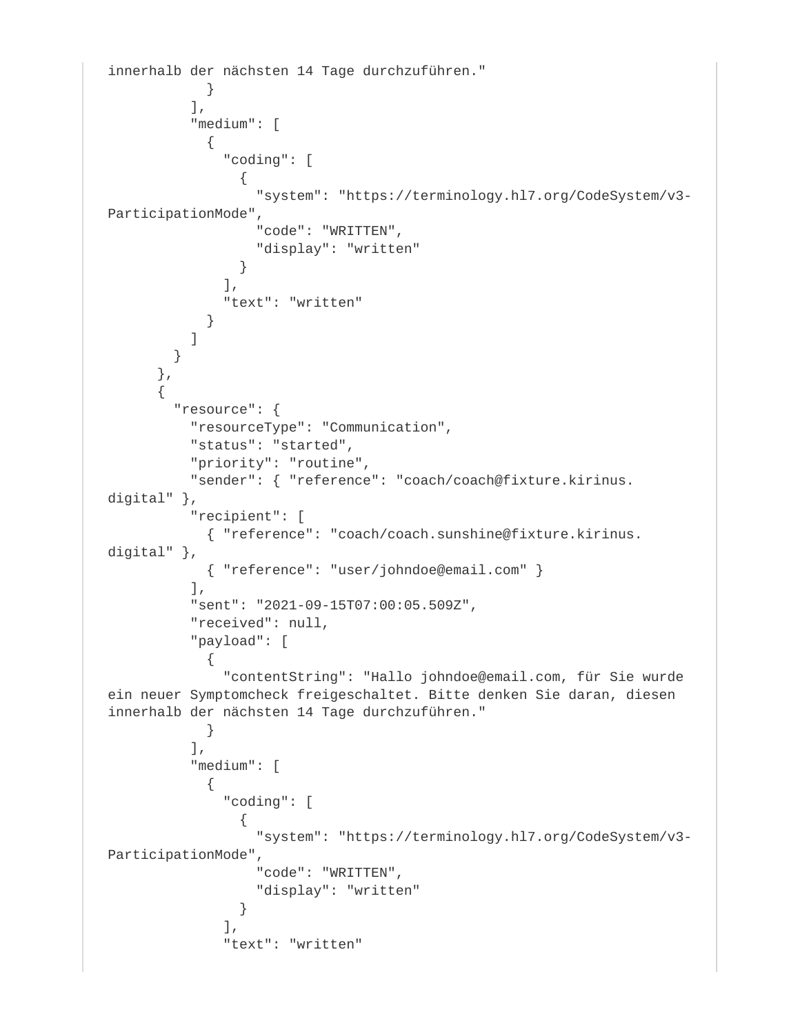```
innerhalb der nächsten 14 Tage durchzuführen."
 }
         \cdot "medium": [
\{ "coding": [
\{ "system": "https://terminology.hl7.org/CodeSystem/v3-
ParticipationMode",
                  "code": "WRITTEN",
                 "display": "written"
 }
             \,,
              "text": "written"
 }
 ]
        }
      },
\{ "resource": {
          "resourceType": "Communication",
          "status": "started",
          "priority": "routine",
          "sender": { "reference": "coach/coach@fixture.kirinus.
digital" },
          "recipient": [
           { "reference": "coach/coach.sunshine@fixture.kirinus.
digital" },
            { "reference": "user/johndoe@email.com" }
         \,],
          "sent": "2021-09-15T07:00:05.509Z",
          "received": null,
          "payload": [
\{ "contentString": "Hallo johndoe@email.com, für Sie wurde 
ein neuer Symptomcheck freigeschaltet. Bitte denken Sie daran, diesen 
innerhalb der nächsten 14 Tage durchzuführen."
 }
         \left| \right|,
          "medium": [
\{ "coding": [
\{ "system": "https://terminology.hl7.org/CodeSystem/v3-
ParticipationMode",
                  "code": "WRITTEN",
                 "display": "written"
 }
             \vert,
              "text": "written"
```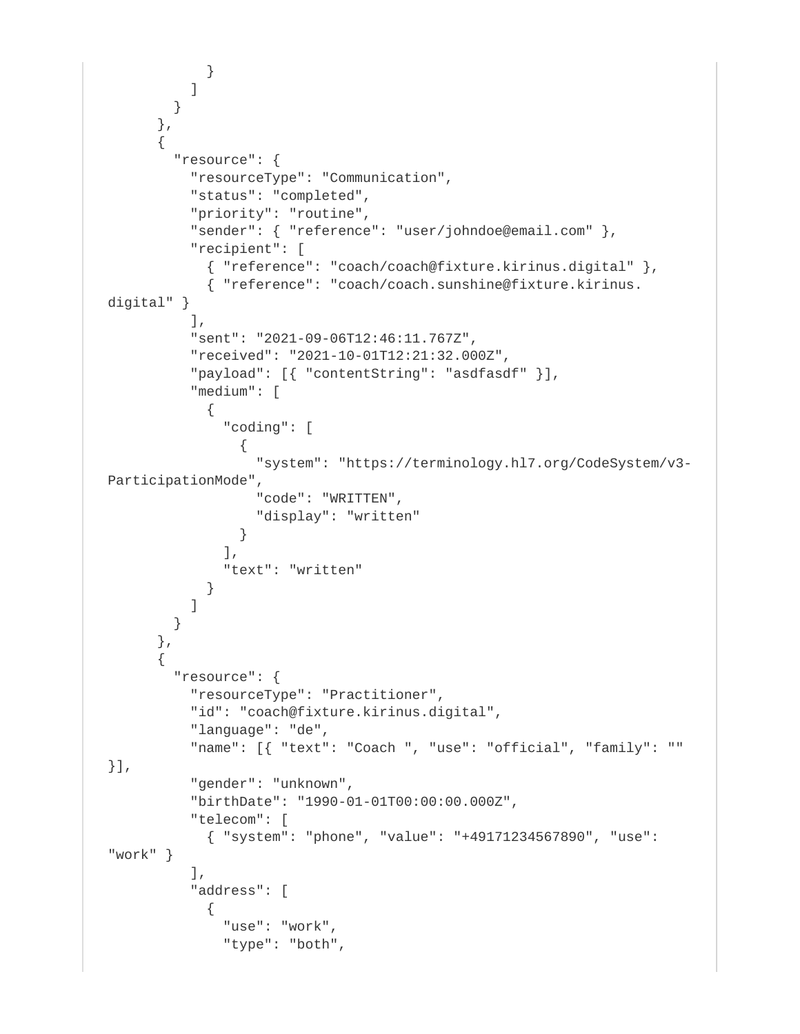```
 }
 ]
        }
       },
\{ "resource": {
          "resourceType": "Communication",
          "status": "completed",
           "priority": "routine",
           "sender": { "reference": "user/johndoe@email.com" },
          "recipient": [
            { "reference": "coach/coach@fixture.kirinus.digital" },
            { "reference": "coach/coach.sunshine@fixture.kirinus.
digital" }
          \,],
           "sent": "2021-09-06T12:46:11.767Z",
           "received": "2021-10-01T12:21:32.000Z",
           "payload": [{ "contentString": "asdfasdf" }],
           "medium": [
\{ "coding": [
\{ "system": "https://terminology.hl7.org/CodeSystem/v3-
ParticipationMode",
                  "code": "WRITTEN",
                  "display": "written"
 }
             \lbrack,
              "text": "written"
 }
 ]
        }
       },
\{ "resource": {
           "resourceType": "Practitioner",
           "id": "coach@fixture.kirinus.digital",
           "language": "de",
           "name": [{ "text": "Coach ", "use": "official", "family": "" 
}],
           "gender": "unknown",
           "birthDate": "1990-01-01T00:00:00.000Z",
           "telecom": [
            { "system": "phone", "value": "+49171234567890", "use": 
"work" }
           ],
           "address": [
\{ "use": "work",
              "type": "both",
```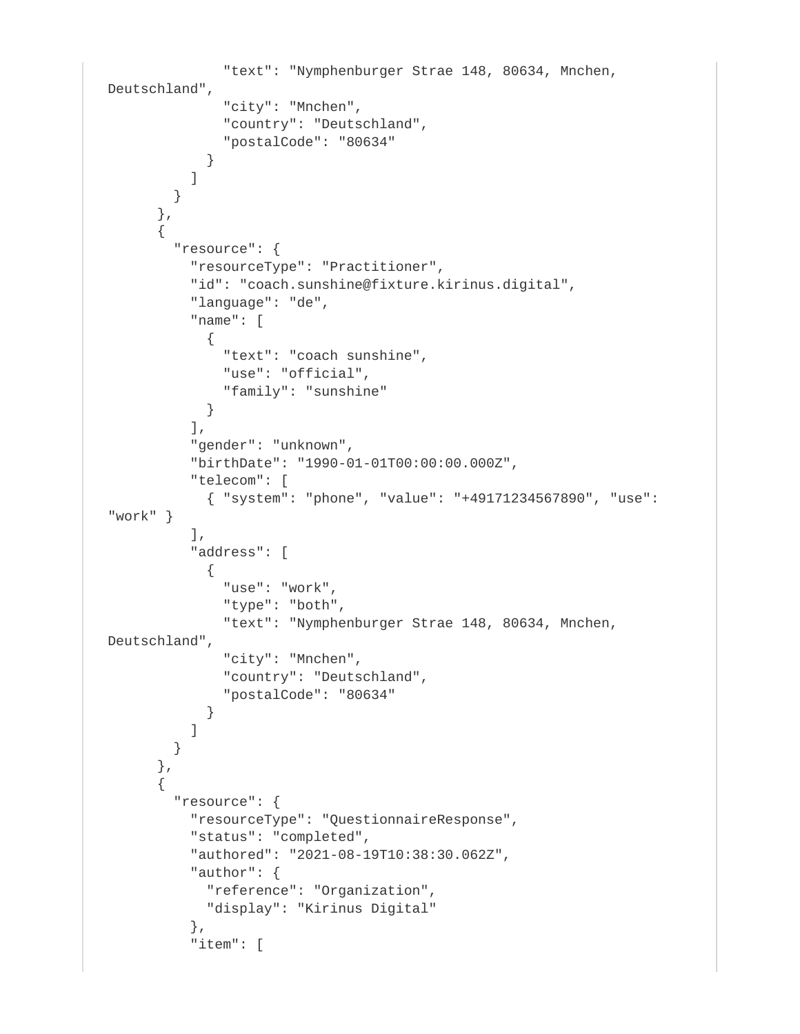```
 "text": "Nymphenburger Strae 148, 80634, Mnchen, 
Deutschland",
               "city": "Mnchen",
               "country": "Deutschland",
               "postalCode": "80634"
 }
 ]
         }
       },
\{ "resource": {
           "resourceType": "Practitioner",
           "id": "coach.sunshine@fixture.kirinus.digital",
           "language": "de",
           "name": [
\{ "text": "coach sunshine",
              "use": "official",
              "family": "sunshine"
 }
          \cdot "gender": "unknown",
           "birthDate": "1990-01-01T00:00:00.000Z",
           "telecom": [
            { "system": "phone", "value": "+49171234567890", "use": 
"work" }
          \cdot "address": [
\{ "use": "work",
               "type": "both",
               "text": "Nymphenburger Strae 148, 80634, Mnchen, 
Deutschland",
               "city": "Mnchen",
               "country": "Deutschland",
              "postalCode": "80634"
 }
 ]
         }
       },
\{ "resource": {
           "resourceType": "QuestionnaireResponse",
           "status": "completed",
           "authored": "2021-08-19T10:38:30.062Z",
           "author": {
            "reference": "Organization",
            "display": "Kirinus Digital"
           },
           "item": [
```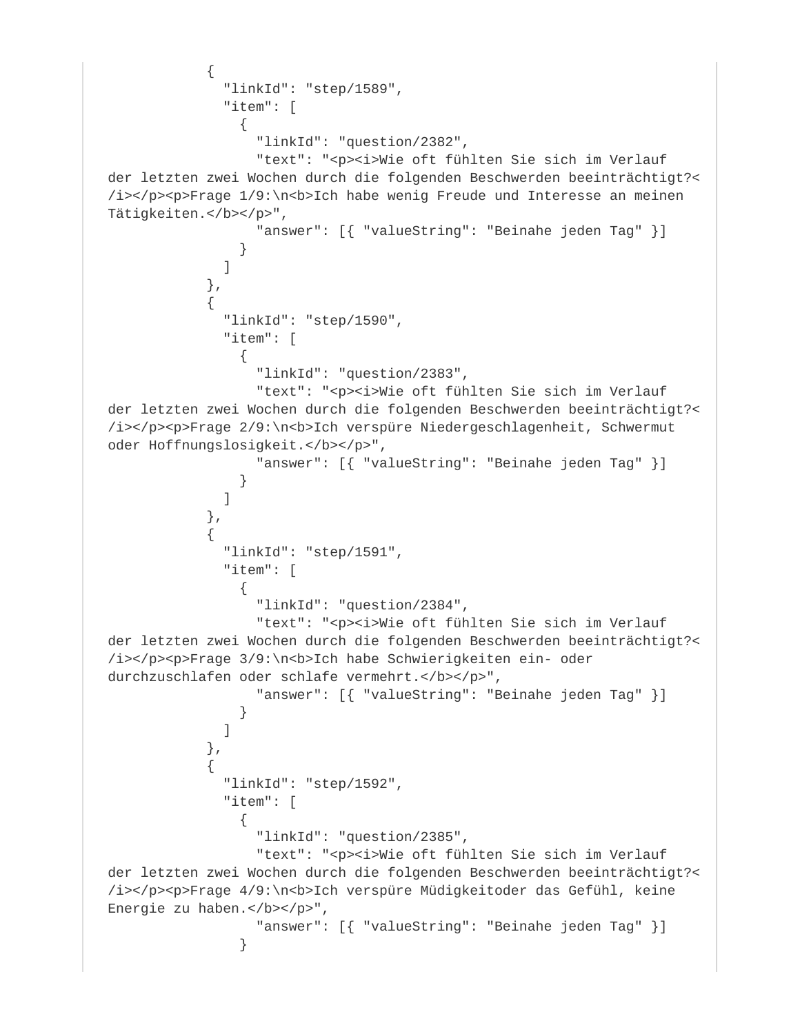```
\{ "linkId": "step/1589",
             "item": [
\{ "linkId": "question/2382",
                "text": "<p><i>Wie oft fühlten Sie sich im Verlauf
der letzten zwei Wochen durch die folgenden Beschwerden beeinträchtigt?<
/i></p><p>Frage 1/9:\n<b>Ich habe wenig Freude und Interesse an meinen 
Tätigkeiten.</b></p>",
                 "answer": [{ "valueString": "Beinahe jeden Tag" }]
 }
 ]
            },
\{ "linkId": "step/1590",
             "item": [
\{ "linkId": "question/2383",
                "text": "<p><i>Wie oft fühlten Sie sich im Verlauf
der letzten zwei Wochen durch die folgenden Beschwerden beeinträchtigt?<
/i></p><p>Frage 2/9:\n<br/>b>Ich verspüre Niedergeschlagenheit, Schwermut
oder Hoffnungslosigkeit.</b></p>",
                 "answer": [{ "valueString": "Beinahe jeden Tag" }]
 }
 ]
            },
\{ "linkId": "step/1591",
             "item": [
{
                 "linkId": "question/2384",
                "text": "<p><i>Wie oft fühlten Sie sich im Verlauf
der letzten zwei Wochen durch die folgenden Beschwerden beeinträchtigt?<
/i></p><p>Frage 3/9:\n<b>Ich habe Schwierigkeiten ein- oder
durchzuschlafen oder schlafe vermehrt.</b></p>",
                 "answer": [{ "valueString": "Beinahe jeden Tag" }]
 }
 ]
           },
\{ "linkId": "step/1592",
             "item": [
\{ "linkId": "question/2385",
                "text": "<p><i>Wie oft fühlten Sie sich im Verlauf
der letzten zwei Wochen durch die folgenden Beschwerden beeinträchtigt?<
/i></p><p>Frage 4/9:\n<br/>k>Ich verspüre Müdigkeitoder das Gefühl, keine
Energie zu haben.</b></p>",
                 "answer": [{ "valueString": "Beinahe jeden Tag" }]
 }
```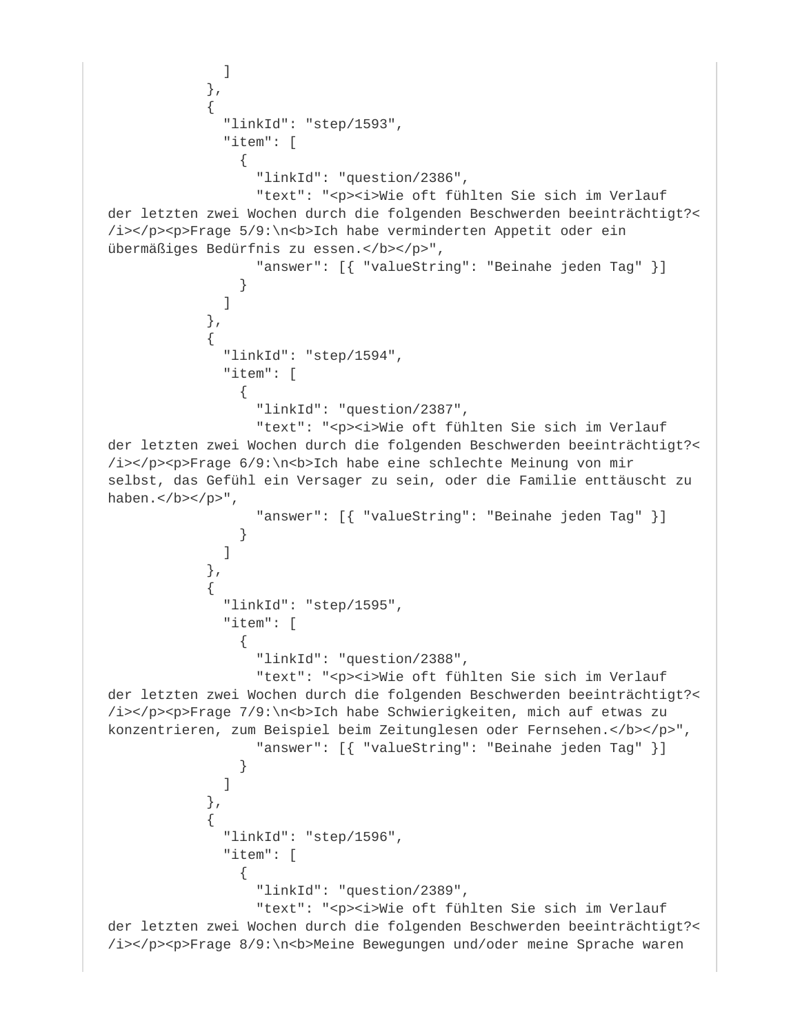```
 ]
            },
\{ "linkId": "step/1593",
             "item": [
\{ "linkId": "question/2386",
                "text": "<p><i>Wie oft fühlten Sie sich im Verlauf
der letzten zwei Wochen durch die folgenden Beschwerden beeinträchtigt?<
/i></p><p>Frage 5/9:\n<br/>b>Ich habe verminderten Appetit oder ein
übermäßiges Bedürfnis zu essen.</b></p>",
                 "answer": [{ "valueString": "Beinahe jeden Tag" }]
 }
 ]
           },
\{ "linkId": "step/1594",
             "item": [
\{ "linkId": "question/2387",
                "text": "<p><i>Wie oft fühlten Sie sich im Verlauf
der letzten zwei Wochen durch die folgenden Beschwerden beeinträchtigt?<
/i></p><p>Frage 6/9:\n<br/>b>Ich habe eine schlechte Meinung von mir
selbst, das Gefühl ein Versager zu sein, oder die Familie enttäuscht zu 
haben.</b></p>",
                 "answer": [{ "valueString": "Beinahe jeden Tag" }]
 }
 ]
           },
\{ "linkId": "step/1595",
             "item": [
\{ "linkId": "question/2388",
                "text": "<p><i>Wie oft fühlten Sie sich im Verlauf
der letzten zwei Wochen durch die folgenden Beschwerden beeinträchtigt?<
/i></p><p>Frage 7/9:\n<b>Ich habe Schwierigkeiten, mich auf etwas zu 
konzentrieren, zum Beispiel beim Zeitunglesen oder Fernsehen.</b></p>",
                 "answer": [{ "valueString": "Beinahe jeden Tag" }]
 }
 ]
           },
\{ "linkId": "step/1596",
             "item": [
\{ "linkId": "question/2389",
                "text": "<p><i>Wie oft fühlten Sie sich im Verlauf
der letzten zwei Wochen durch die folgenden Beschwerden beeinträchtigt?<
/i></p><p>Frage 8/9:\n<br/>b>Meine Bewegungen und/oder meine Sprache waren
```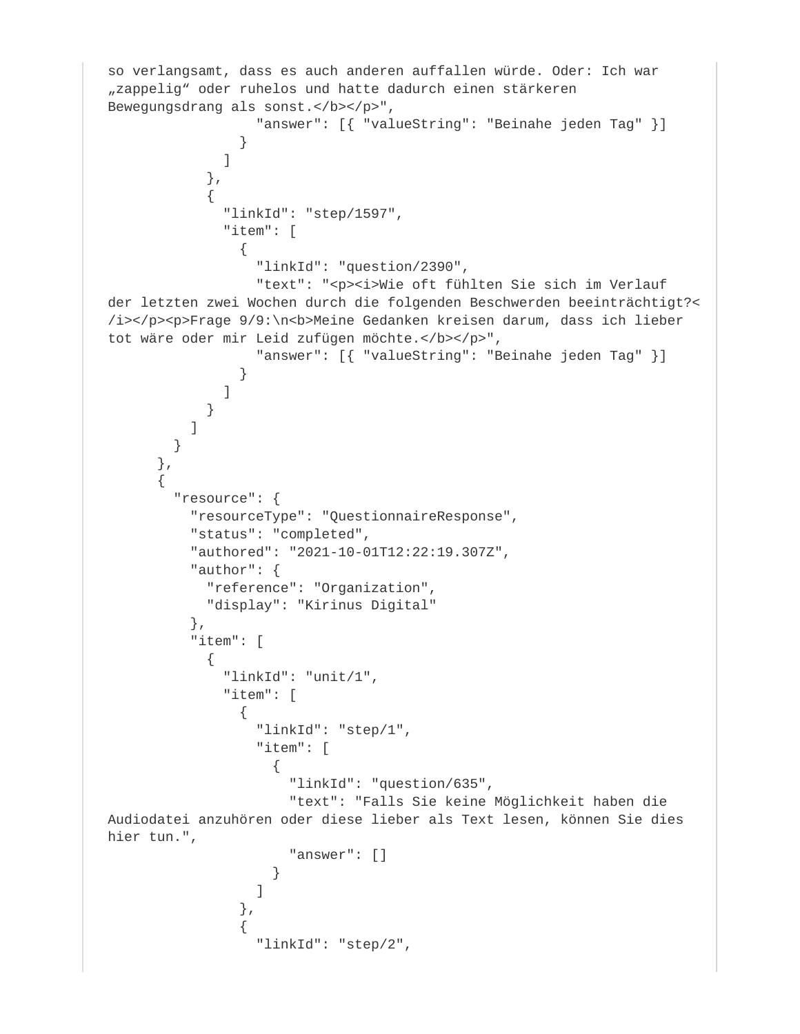```
so verlangsamt, dass es auch anderen auffallen würde. Oder: Ich war 
"zappelig" oder ruhelos und hatte dadurch einen stärkeren
Bewegungsdrang als sonst.</b></p>",
                "answer": [{ "valueString": "Beinahe jeden Tag" }]
 }
 ]
           },
\{ "linkId": "step/1597",
             "item": [
\{ "linkId": "question/2390",
               "text": "<p><i>Wie oft fühlten Sie sich im Verlauf
der letzten zwei Wochen durch die folgenden Beschwerden beeinträchtigt?<
/i></p><p>Frage 9/9:\n<br/>b>Meine Gedanken kreisen darum, dass ich lieber
tot wäre oder mir Leid zufügen möchte.</b></p>",
                "answer": [{ "valueString": "Beinahe jeden Tag" }]
 }
 ]
 }
 ]
 }
      },
\{ "resource": {
          "resourceType": "QuestionnaireResponse",
         "status": "completed",
         "authored": "2021-10-01T12:22:19.307Z",
         "author": {
           "reference": "Organization",
           "display": "Kirinus Digital"
         },
         "item": [
\{ "linkId": "unit/1",
             "item": [
\{ "linkId": "step/1",
                "item": [
\{ "linkId": "question/635",
                    "text": "Falls Sie keine Möglichkeit haben die 
Audiodatei anzuhören oder diese lieber als Text lesen, können Sie dies 
hier tun.",
                    "answer": []
 }
 ]
 },
\{ "linkId": "step/2",
```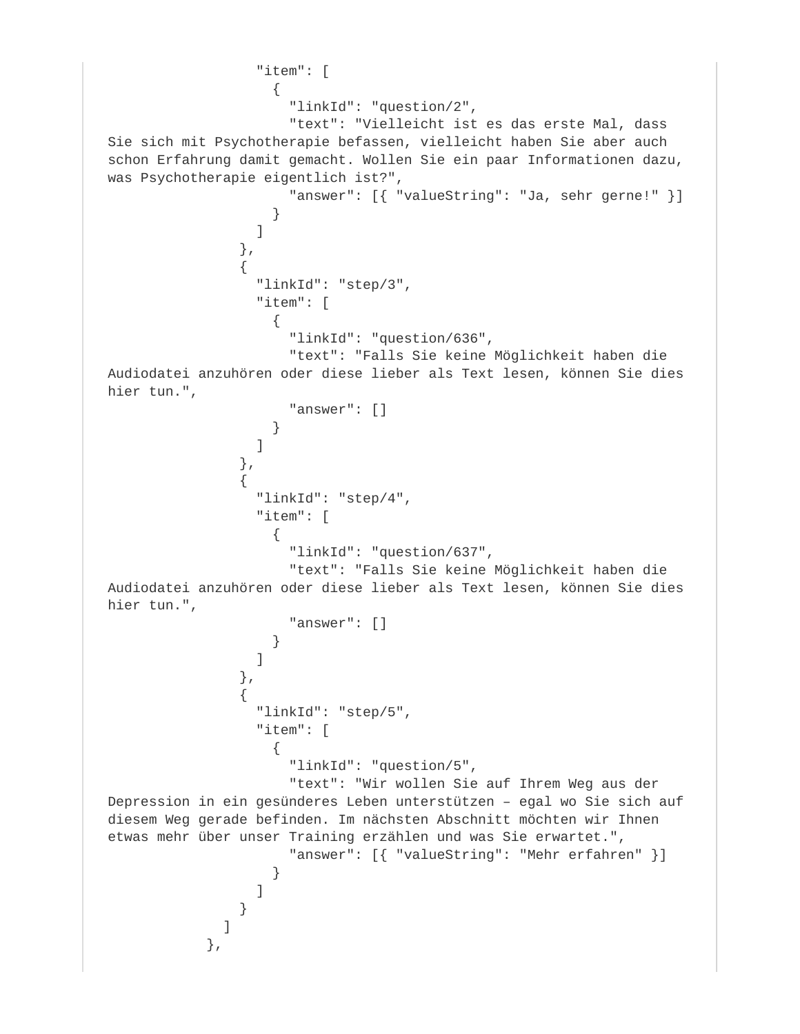```
 "item": [
\{ "linkId": "question/2",
                      "text": "Vielleicht ist es das erste Mal, dass 
Sie sich mit Psychotherapie befassen, vielleicht haben Sie aber auch 
schon Erfahrung damit gemacht. Wollen Sie ein paar Informationen dazu, 
was Psychotherapie eigentlich ist?",
                      "answer": [{ "valueString": "Ja, sehr gerne!" }]
 }
design to the control of the control of the control of the control of the control of the control of the control of the control of the control of the control of the control of the control of the control of the control of th
                },
\{ "linkId": "step/3",
                  "item": [
\{ "linkId": "question/636",
                      "text": "Falls Sie keine Möglichkeit haben die 
Audiodatei anzuhören oder diese lieber als Text lesen, können Sie dies 
hier tun.",
                      "answer": []
 }
 ]
 },
\{ "linkId": "step/4",
                  "item": [
\{ "linkId": "question/637",
                      "text": "Falls Sie keine Möglichkeit haben die 
Audiodatei anzuhören oder diese lieber als Text lesen, können Sie dies 
hier tun.",
                      "answer": []
 }
 ]
                },
\{ "linkId": "step/5",
                  "item": [
\{ "linkId": "question/5",
                      "text": "Wir wollen Sie auf Ihrem Weg aus der 
Depression in ein gesünderes Leben unterstützen – egal wo Sie sich auf 
diesem Weg gerade befinden. Im nächsten Abschnitt möchten wir Ihnen 
etwas mehr über unser Training erzählen und was Sie erwartet.",
                      "answer": [{ "valueString": "Mehr erfahren" }]
 }
 ]
 }
 ]
             },
```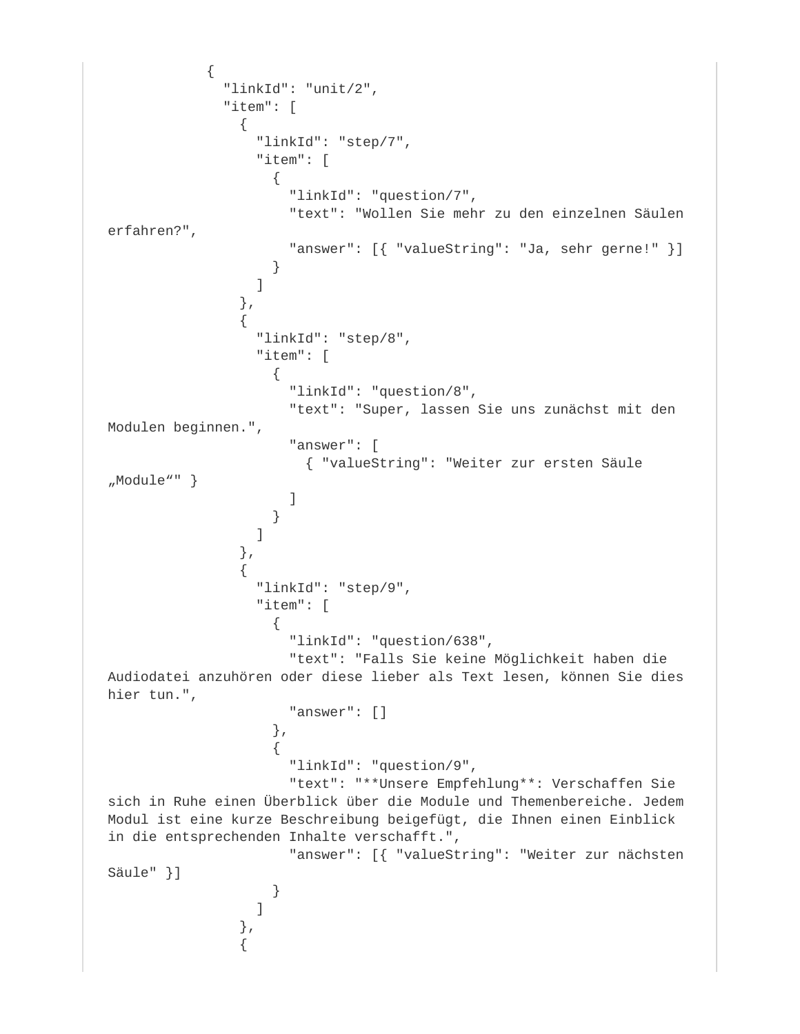```
\{ "linkId": "unit/2",
            "item": [
\{ "linkId": "step/7",
               "item": [
\{ "linkId": "question/7",
                  "text": "Wollen Sie mehr zu den einzelnen Säulen 
erfahren?",
                  "answer": [{ "valueString": "Ja, sehr gerne!" }]
 }
 ]
              },
{
               "linkId": "step/8",
               "item": [
\{ "linkId": "question/8",
                  "text": "Super, lassen Sie uns zunächst mit den 
Modulen beginnen.",
                  "answer": [
                    { "valueString": "Weiter zur ersten Säule 
"Module"" }
 ]
 }
 ]
              },
\{ "linkId": "step/9",
               "item": [
\{ "linkId": "question/638",
                  "text": "Falls Sie keine Möglichkeit haben die 
Audiodatei anzuhören oder diese lieber als Text lesen, können Sie dies 
hier tun.",
                  "answer": []
 },
\{ "linkId": "question/9",
                  "text": "**Unsere Empfehlung**: Verschaffen Sie 
sich in Ruhe einen Überblick über die Module und Themenbereiche. Jedem 
Modul ist eine kurze Beschreibung beigefügt, die Ihnen einen Einblick 
in die entsprechenden Inhalte verschafft.",
                  "answer": [{ "valueString": "Weiter zur nächsten 
Säule" }]
 }
 ]
              },
{
```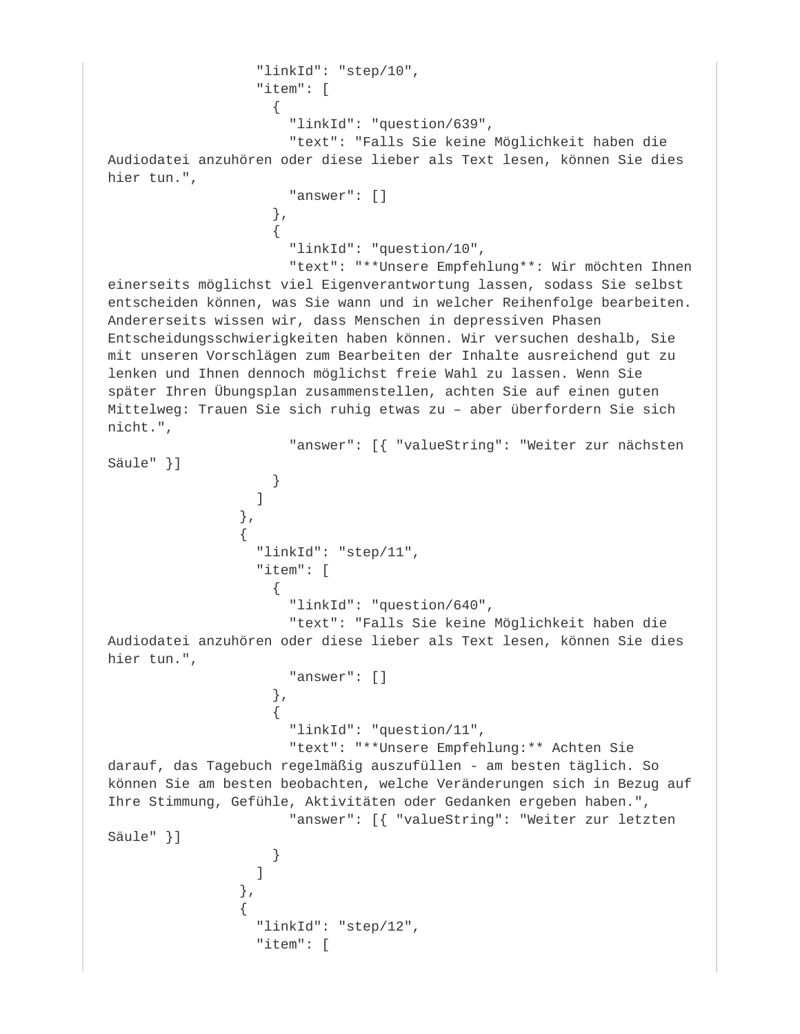```
 "linkId": "step/10",
                    "item": [
\{ "linkId": "question/639",
                        "text": "Falls Sie keine Möglichkeit haben die 
Audiodatei anzuhören oder diese lieber als Text lesen, können Sie dies 
hier tun.",
                        "answer": []
 },
\{ "linkId": "question/10",
                        "text": "**Unsere Empfehlung**: Wir möchten Ihnen 
einerseits möglichst viel Eigenverantwortung lassen, sodass Sie selbst 
entscheiden können, was Sie wann und in welcher Reihenfolge bearbeiten. 
Andererseits wissen wir, dass Menschen in depressiven Phasen 
Entscheidungsschwierigkeiten haben können. Wir versuchen deshalb, Sie 
mit unseren Vorschlägen zum Bearbeiten der Inhalte ausreichend gut zu 
lenken und Ihnen dennoch möglichst freie Wahl zu lassen. Wenn Sie 
später Ihren Übungsplan zusammenstellen, achten Sie auf einen guten 
Mittelweg: Trauen Sie sich ruhig etwas zu – aber überfordern Sie sich 
nicht.",
                        "answer": [{ "valueString": "Weiter zur nächsten 
Säule" }]
 }
design to the control of the control of the control of the control of the control of the control of the control of the control of the control of the control of the control of the control of the control of the control of th
                  },
\{ "linkId": "step/11",
                    "item": [
\{ "linkId": "question/640",
                        "text": "Falls Sie keine Möglichkeit haben die 
Audiodatei anzuhören oder diese lieber als Text lesen, können Sie dies 
hier tun.",
                        "answer": []
 },
\{ "linkId": "question/11",
                        "text": "**Unsere Empfehlung:** Achten Sie 
darauf, das Tagebuch regelmäßig auszufüllen - am besten täglich. So 
können Sie am besten beobachten, welche Veränderungen sich in Bezug auf 
Ihre Stimmung, Gefühle, Aktivitäten oder Gedanken ergeben haben.",
                        "answer": [{ "valueString": "Weiter zur letzten 
Säule" }]
 }
 ]
                 },
\{ "linkId": "step/12",
                    "item": [
```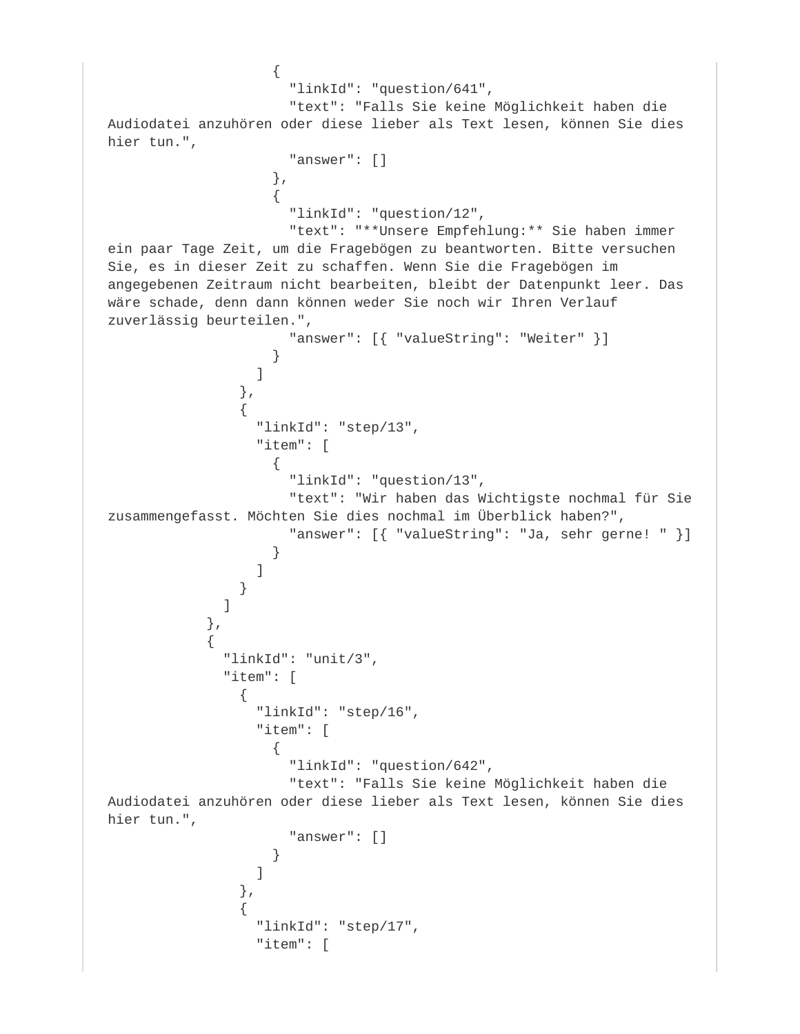```
\{ "linkId": "question/641",
                   "text": "Falls Sie keine Möglichkeit haben die 
Audiodatei anzuhören oder diese lieber als Text lesen, können Sie dies 
hier tun.",
                   "answer": []
 },
\{ "linkId": "question/12",
                   "text": "**Unsere Empfehlung:** Sie haben immer 
ein paar Tage Zeit, um die Fragebögen zu beantworten. Bitte versuchen 
Sie, es in dieser Zeit zu schaffen. Wenn Sie die Fragebögen im 
angegebenen Zeitraum nicht bearbeiten, bleibt der Datenpunkt leer. Das 
wäre schade, denn dann können weder Sie noch wir Ihren Verlauf 
zuverlässig beurteilen.",
                   "answer": [{ "valueString": "Weiter" }]
 }
 ]
              },
{
                "linkId": "step/13",
                "item": [
\{ "linkId": "question/13",
                   "text": "Wir haben das Wichtigste nochmal für Sie 
zusammengefasst. Möchten Sie dies nochmal im Überblick haben?",
                   "answer": [{ "valueString": "Ja, sehr gerne! " }]
 }
 ]
 }
 ]
          },
\{ "linkId": "unit/3",
            "item": [
\{ "linkId": "step/16",
               "item": [
\{ "linkId": "question/642",
                   "text": "Falls Sie keine Möglichkeit haben die 
Audiodatei anzuhören oder diese lieber als Text lesen, können Sie dies 
hier tun.",
                   "answer": []
 }
 ]
 },
\{ "linkId": "step/17",
                "item": [
```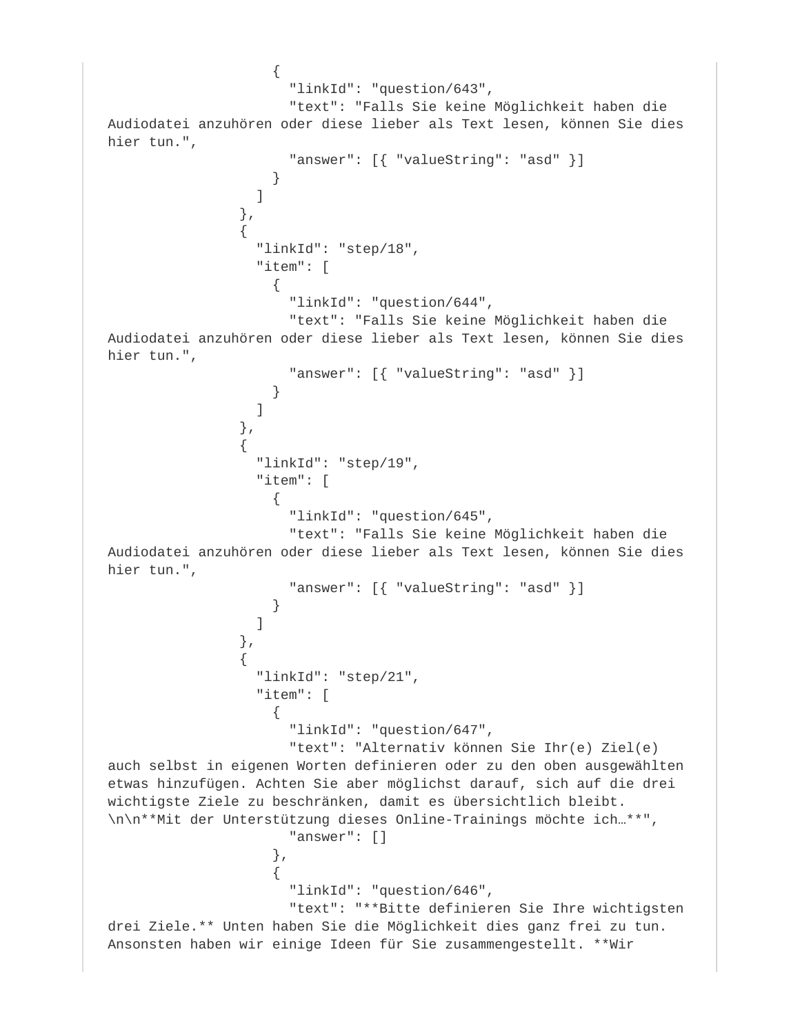```
\{ "linkId": "question/643",
                       "text": "Falls Sie keine Möglichkeit haben die 
Audiodatei anzuhören oder diese lieber als Text lesen, können Sie dies 
hier tun.",
                       "answer": [{ "valueString": "asd" }]
 }
 ]
                 },
{
                   "linkId": "step/18",
                   "item": [
\{ "linkId": "question/644",
                       "text": "Falls Sie keine Möglichkeit haben die 
Audiodatei anzuhören oder diese lieber als Text lesen, können Sie dies 
hier tun.",
                       "answer": [{ "valueString": "asd" }]
 }
design to the control of the control of the control of the control of the control of the control of the control of the control of the control of the control of the control of the control of the control of the control of th
                 },
\{ "linkId": "step/19",
                   "item": [
\{ "linkId": "question/645",
                       "text": "Falls Sie keine Möglichkeit haben die 
Audiodatei anzuhören oder diese lieber als Text lesen, können Sie dies 
hier tun.",
                       "answer": [{ "valueString": "asd" }]
 }
 ]
 },
\{ "linkId": "step/21",
                   "item": [
\{ "linkId": "question/647",
                       "text": "Alternativ können Sie Ihr(e) Ziel(e) 
auch selbst in eigenen Worten definieren oder zu den oben ausgewählten 
etwas hinzufügen. Achten Sie aber möglichst darauf, sich auf die drei 
wichtigste Ziele zu beschränken, damit es übersichtlich bleibt.
\n\n**Mit der Unterstützung dieses Online-Trainings möchte ich…**",
                       "answer": []
 },
\{ "linkId": "question/646",
                       "text": "**Bitte definieren Sie Ihre wichtigsten 
drei Ziele.** Unten haben Sie die Möglichkeit dies ganz frei zu tun. 
Ansonsten haben wir einige Ideen für Sie zusammengestellt. **Wir
```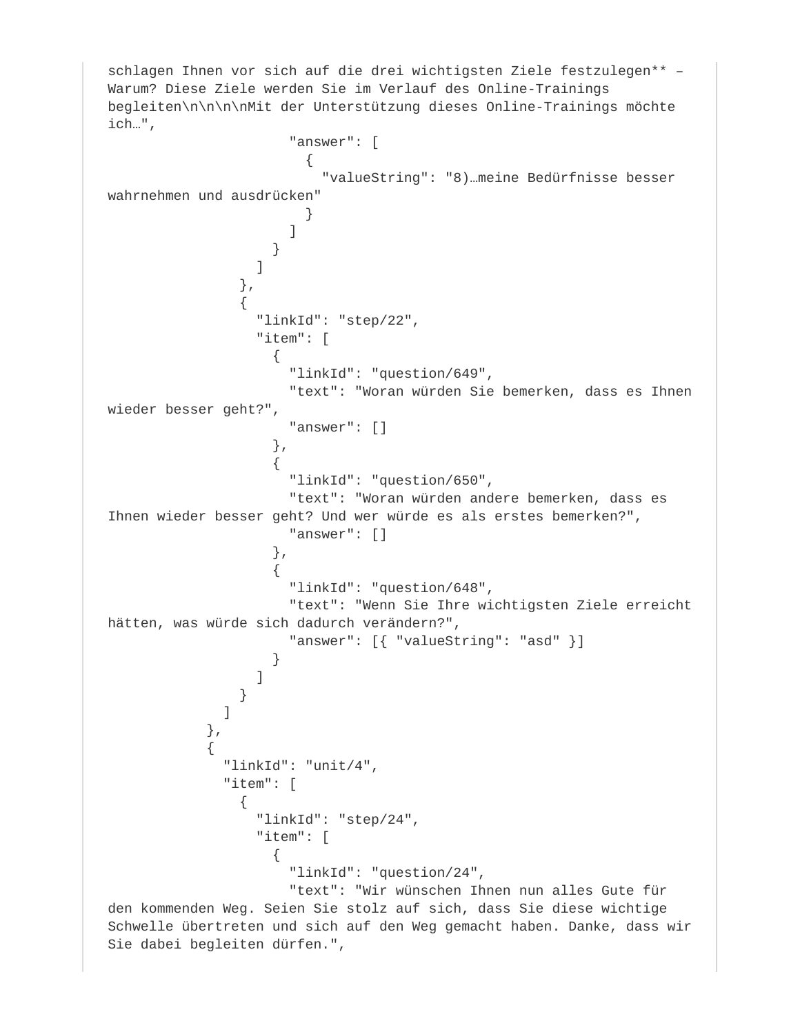schlagen Ihnen vor sich auf die drei wichtigsten Ziele festzulegen\*\* – Warum? Diese Ziele werden Sie im Verlauf des Online-Trainings begleiten\n\n\n\nMit der Unterstützung dieses Online-Trainings möchte ich…", "answer": [  $\{$  "valueString": "8)…meine Bedürfnisse besser wahrnehmen und ausdrücken" } ] } ] },  $\{$  "linkId": "step/22", "item": [  $\{$  "linkId": "question/649", "text": "Woran würden Sie bemerken, dass es Ihnen wieder besser geht?", "answer": [] },  $\{$  "linkId": "question/650", "text": "Woran würden andere bemerken, dass es Ihnen wieder besser geht? Und wer würde es als erstes bemerken?", "answer": [] },  $\{$  "linkId": "question/648", "text": "Wenn Sie Ihre wichtigsten Ziele erreicht hätten, was würde sich dadurch verändern?", "answer": [{ "valueString": "asd" }] } design to the control of the control of the control of the control of the control of the control of the control of the control of the control of the control of the control of the control of the control of the control of th } ] },  $\{$  "linkId": "unit/4", "item": [  $\{$  "linkId": "step/24", "item": [  $\{$  "linkId": "question/24", "text": "Wir wünschen Ihnen nun alles Gute für den kommenden Weg. Seien Sie stolz auf sich, dass Sie diese wichtige Schwelle übertreten und sich auf den Weg gemacht haben. Danke, dass wir Sie dabei begleiten dürfen.",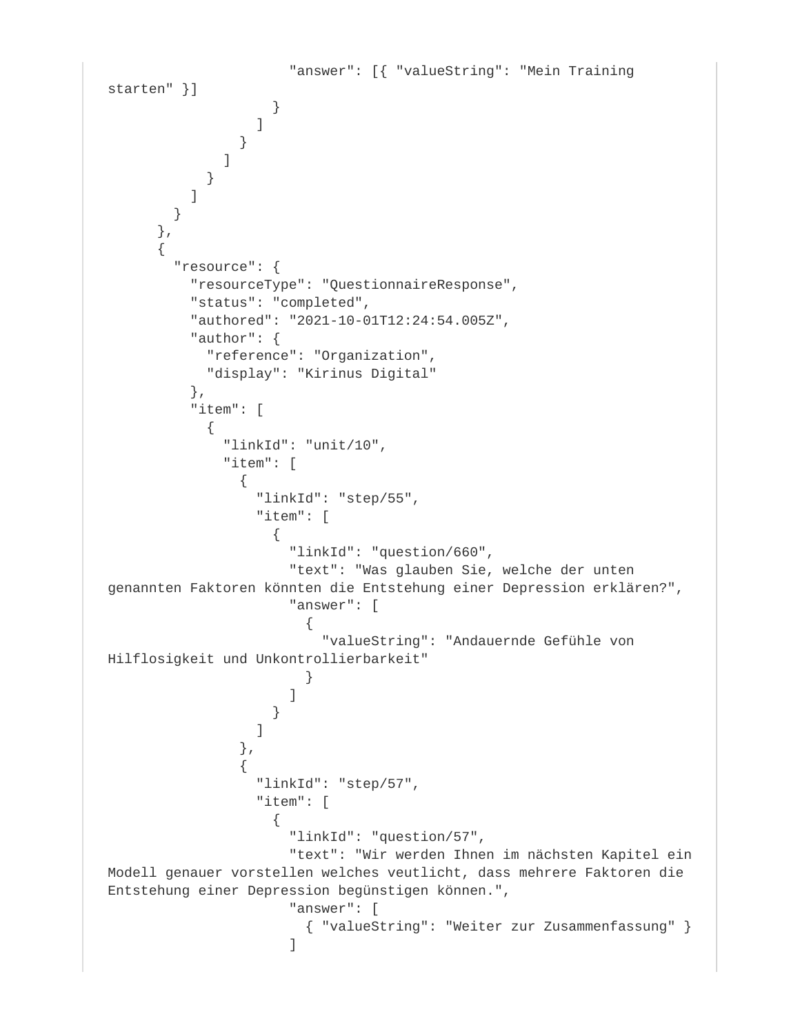```
 "answer": [{ "valueString": "Mein Training 
starten" }]
 }
 ]
 }
 ]
 }
          ]
 }
      },
\{ "resource": {
          "resourceType": "QuestionnaireResponse",
          "status": "completed",
          "authored": "2021-10-01T12:24:54.005Z",
          "author": {
            "reference": "Organization",
            "display": "Kirinus Digital"
          },
          "item": [
\{ "linkId": "unit/10",
             "item": [
\{ "linkId": "step/55",
                 "item": [
\{ "linkId": "question/660",
                     "text": "Was glauben Sie, welche der unten 
genannten Faktoren könnten die Entstehung einer Depression erklären?",
                     "answer": [
\{ "valueString": "Andauernde Gefühle von 
Hilflosigkeit und Unkontrollierbarkeit"
 }
design to the control of the control of the control of the control of the control of the control of the control of
 }
 ]
               },
{
                 "linkId": "step/57",
                 "item": [
\{ "linkId": "question/57",
                     "text": "Wir werden Ihnen im nächsten Kapitel ein 
Modell genauer vorstellen welches veutlicht, dass mehrere Faktoren die 
Entstehung einer Depression begünstigen können.",
                     "answer": [
                       { "valueString": "Weiter zur Zusammenfassung" }
 ]
```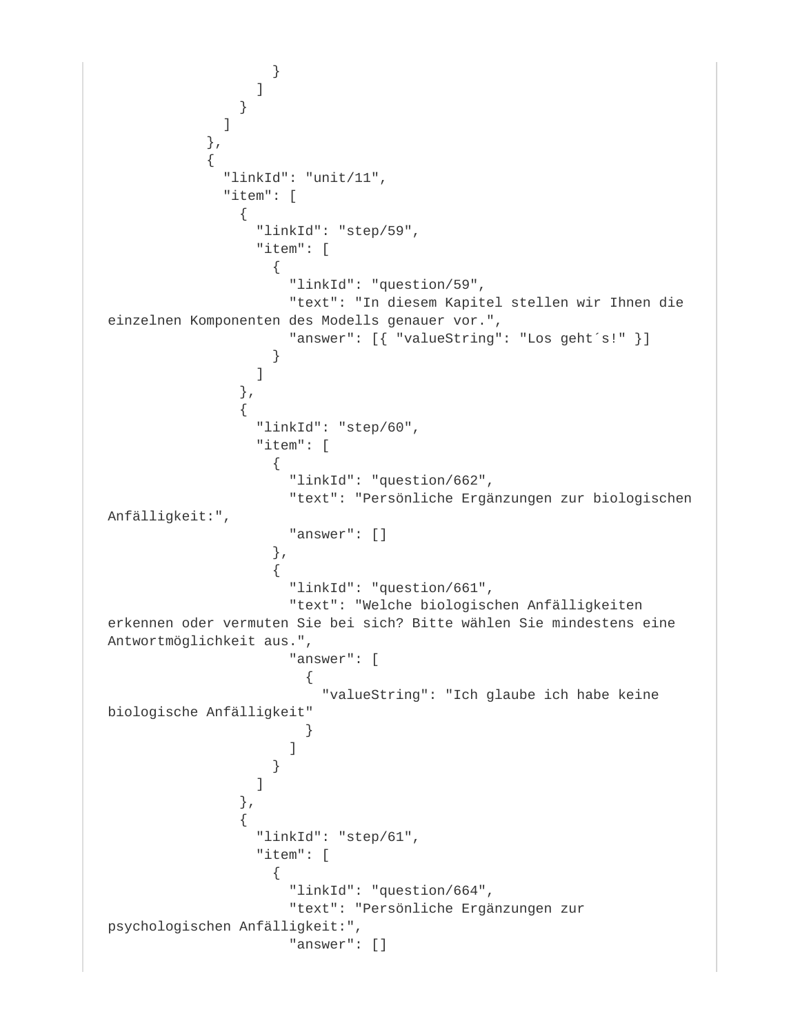```
 }
 ]
 }
 ]
           },
\{ "linkId": "unit/11",
            "item": [
\{ "linkId": "step/59",
                "item": [
\{ "linkId": "question/59",
                   "text": "In diesem Kapitel stellen wir Ihnen die 
einzelnen Komponenten des Modells genauer vor.",
                   "answer": [{ "valueString": "Los geht´s!" }]
 }
 ]
              },
{
                "linkId": "step/60",
                "item": [
\{ "linkId": "question/662",
                   "text": "Persönliche Ergänzungen zur biologischen 
Anfälligkeit:",
                   "answer": []
 },
\{ "linkId": "question/661",
                   "text": "Welche biologischen Anfälligkeiten 
erkennen oder vermuten Sie bei sich? Bitte wählen Sie mindestens eine 
Antwortmöglichkeit aus.",
                   "answer": [
\{ "valueString": "Ich glaube ich habe keine 
biologische Anfälligkeit"
 }
design to the control of the control of the control of the control of the control of the control of the control of
 }
 ]
              },
\{ "linkId": "step/61",
                "item": [
\{ "linkId": "question/664",
                   "text": "Persönliche Ergänzungen zur 
psychologischen Anfälligkeit:",
                   "answer": []
```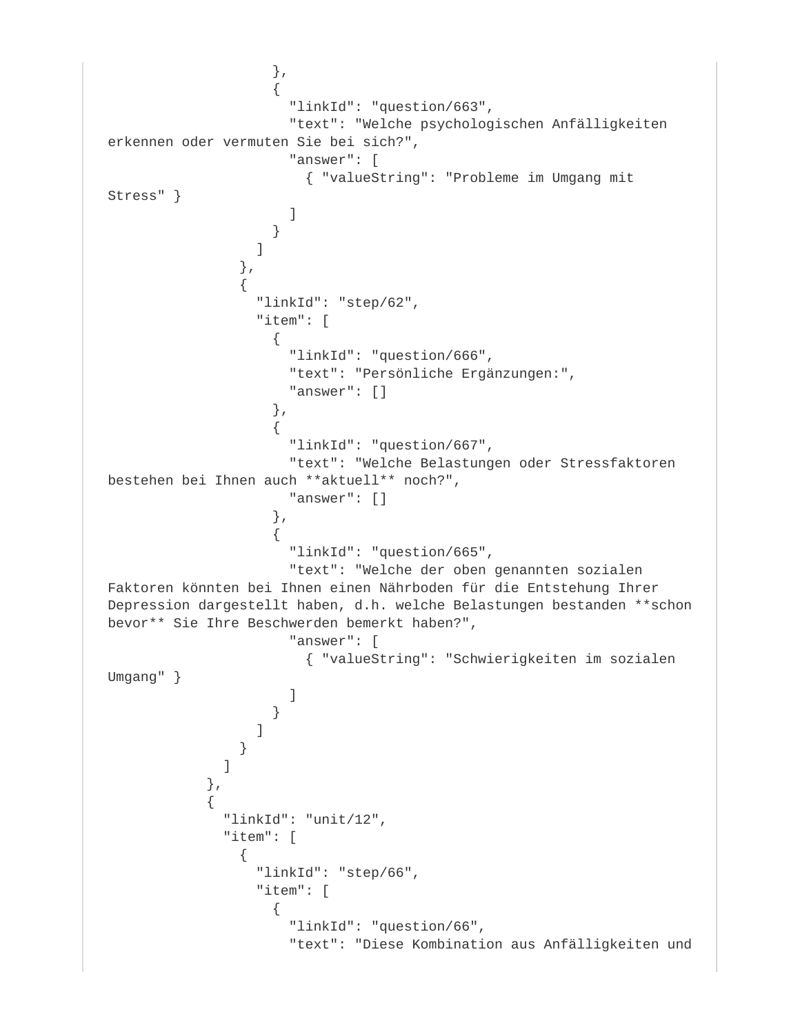```
 },
\{ "linkId": "question/663",
                      "text": "Welche psychologischen Anfälligkeiten 
erkennen oder vermuten Sie bei sich?",
                      "answer": [
                        { "valueString": "Probleme im Umgang mit 
Stress" }
design to the control of the control of the control of the control of the control of the control of the control of
 }
 ]
                },
\{ "linkId": "step/62",
                  "item": [
\{ "linkId": "question/666",
                      "text": "Persönliche Ergänzungen:",
                      "answer": []
 },
\{ "linkId": "question/667",
                      "text": "Welche Belastungen oder Stressfaktoren 
bestehen bei Ihnen auch **aktuell** noch?",
                      "answer": []
 },
\{ "linkId": "question/665",
                      "text": "Welche der oben genannten sozialen 
Faktoren könnten bei Ihnen einen Nährboden für die Entstehung Ihrer 
Depression dargestellt haben, d.h. welche Belastungen bestanden **schon 
bevor** Sie Ihre Beschwerden bemerkt haben?",
                      "answer": [
                        { "valueString": "Schwierigkeiten im sozialen 
Umgang" }
design to the control of the control of the control of the control of the control of the control of the control of
 }
 ]
 }
 ]
            },
\{ "linkId": "unit/12",
              "item": [
{
                  "linkId": "step/66",
                  "item": [
\{ "linkId": "question/66",
                      "text": "Diese Kombination aus Anfälligkeiten und
```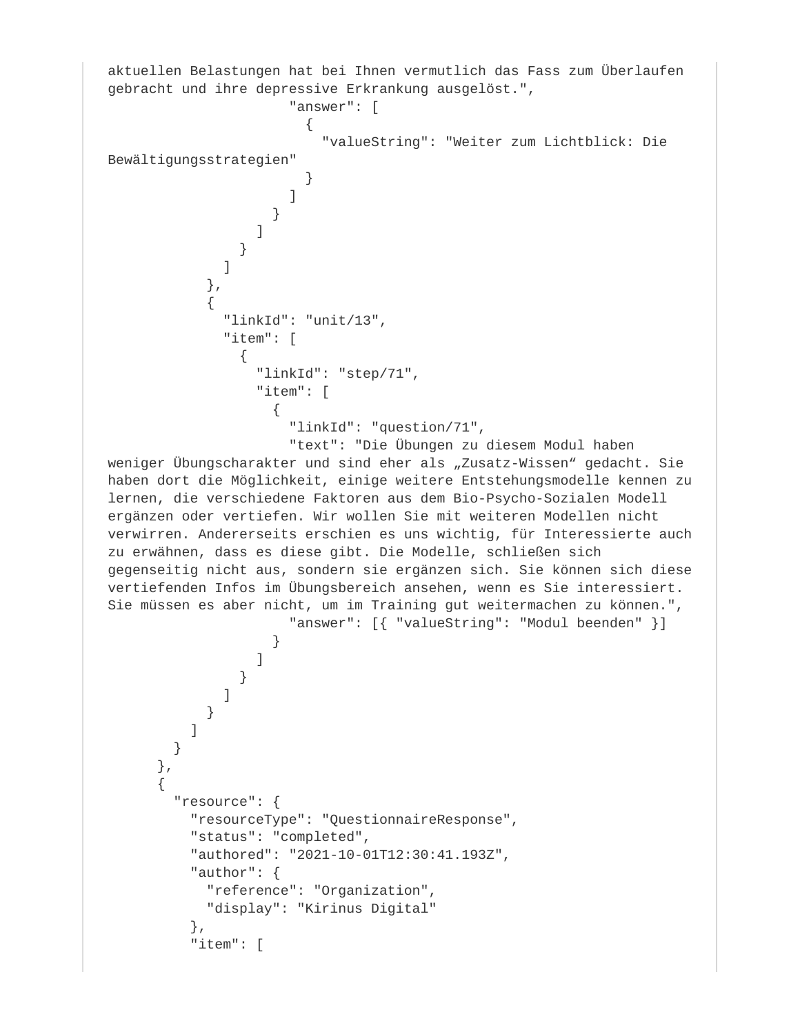```
aktuellen Belastungen hat bei Ihnen vermutlich das Fass zum Überlaufen 
gebracht und ihre depressive Erkrankung ausgelöst.",
                         "answer": [
\{ "valueString": "Weiter zum Lichtblick: Die 
Bewältigungsstrategien"
 }
design to the control of the control of the control of the control of the control of the control of the control of
 }
design to the control of the control of the control of the control of the control of the control of the control of the control of the control of the control of the control of the control of the control of the control of th
 }
 ]
              },
\{ "linkId": "unit/13",
                "item": [
\{ "linkId": "step/71",
                    "item": [
\{ "linkId": "question/71",
                         "text": "Die Übungen zu diesem Modul haben 
weniger Übungscharakter und sind eher als "Zusatz-Wissen" gedacht. Sie
haben dort die Möglichkeit, einige weitere Entstehungsmodelle kennen zu 
lernen, die verschiedene Faktoren aus dem Bio-Psycho-Sozialen Modell 
ergänzen oder vertiefen. Wir wollen Sie mit weiteren Modellen nicht 
verwirren. Andererseits erschien es uns wichtig, für Interessierte auch 
zu erwähnen, dass es diese gibt. Die Modelle, schließen sich 
gegenseitig nicht aus, sondern sie ergänzen sich. Sie können sich diese 
vertiefenden Infos im Übungsbereich ansehen, wenn es Sie interessiert. 
Sie müssen es aber nicht, um im Training gut weitermachen zu können.",
                        "answer": [{ "valueString": "Modul beenden" }]
 }
 ]
 }
 ]
 }
 ]
 }
       },
\{ "resource": {
            "resourceType": "QuestionnaireResponse",
           "status": "completed",
           "authored": "2021-10-01T12:30:41.193Z",
           "author": {
              "reference": "Organization",
              "display": "Kirinus Digital"
           },
            "item": [
```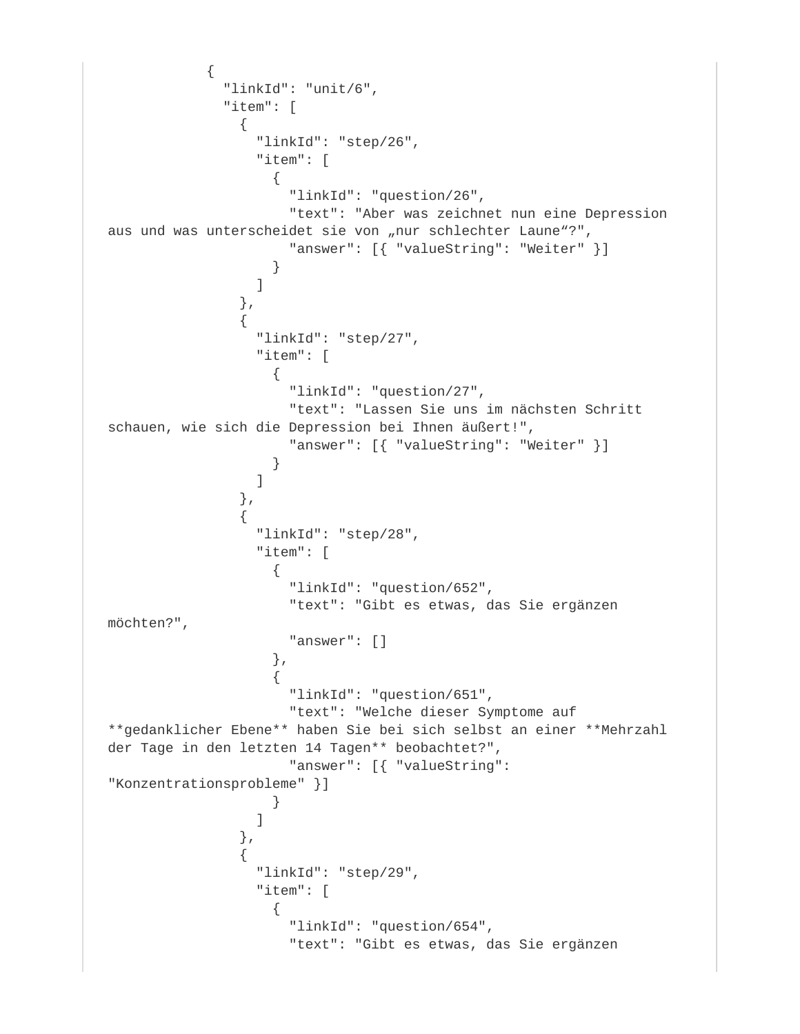```
\{ "linkId": "unit/6",
            "item": [
\{ "linkId": "step/26",
               "item": [
\{ "linkId": "question/26",
                  "text": "Aber was zeichnet nun eine Depression 
aus und was unterscheidet sie von "nur schlechter Laune"?",
                  "answer": [{ "valueString": "Weiter" }]
 }
 ]
             },
{
               "linkId": "step/27",
               "item": [
\{ "linkId": "question/27",
                  "text": "Lassen Sie uns im nächsten Schritt 
schauen, wie sich die Depression bei Ihnen äußert!",
                  "answer": [{ "valueString": "Weiter" }]
 }
 ]
 },
\{ "linkId": "step/28",
               "item": [
\{ "linkId": "question/652",
                  "text": "Gibt es etwas, das Sie ergänzen 
möchten?",
                  "answer": []
 },
\{ "linkId": "question/651",
                  "text": "Welche dieser Symptome auf 
**gedanklicher Ebene** haben Sie bei sich selbst an einer **Mehrzahl 
der Tage in den letzten 14 Tagen** beobachtet?",
                  "answer": [{ "valueString": 
"Konzentrationsprobleme" }]
 }
 ]
             },
{
               "linkId": "step/29",
               "item": [
\{ "linkId": "question/654",
                  "text": "Gibt es etwas, das Sie ergänzen
```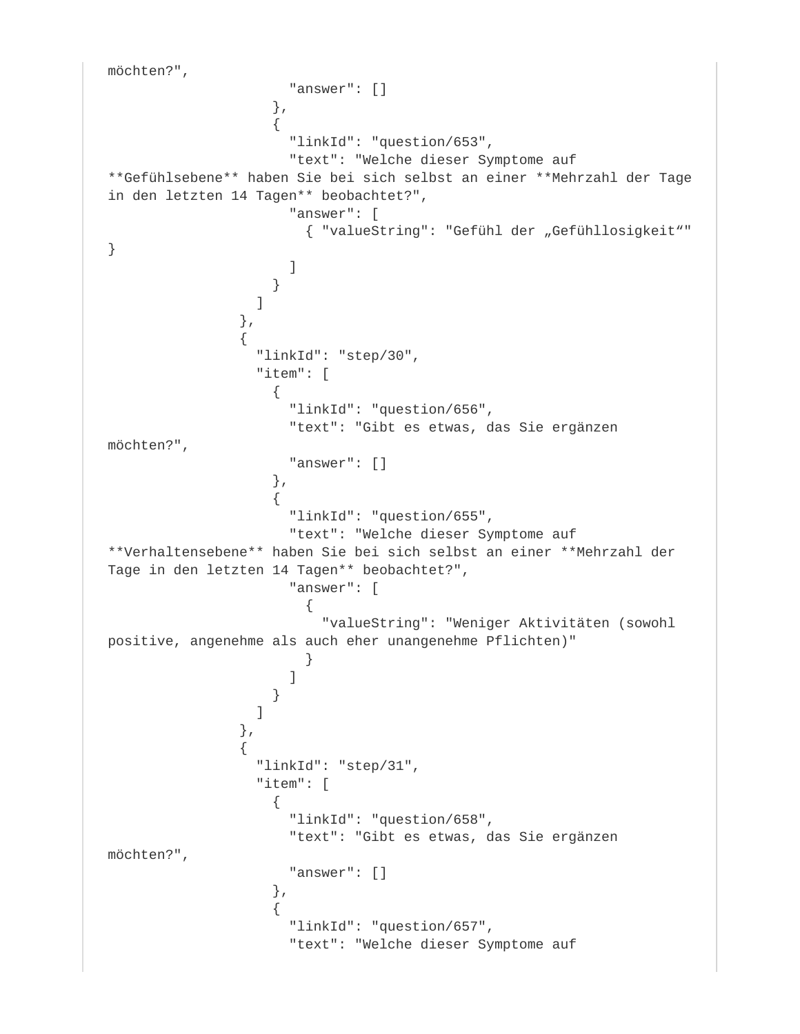```
möchten?",
                   "answer": []
 },
\{ "linkId": "question/653",
                    "text": "Welche dieser Symptome auf 
**Gefühlsebene** haben Sie bei sich selbst an einer **Mehrzahl der Tage 
in den letzten 14 Tagen** beobachtet?",
                    "answer": [
                    { "valueString": "Gefühl der "Gefühllosigkeit""
}
design to the control of the control of the control of the control of the control of the control of the control of
 }
 ]
               },
\{ "linkId": "step/30",
                "item": [
\{ "linkId": "question/656",
                    "text": "Gibt es etwas, das Sie ergänzen 
möchten?",
                    "answer": []
 },
\{ "linkId": "question/655",
                    "text": "Welche dieser Symptome auf 
**Verhaltensebene** haben Sie bei sich selbst an einer **Mehrzahl der 
Tage in den letzten 14 Tagen** beobachtet?",
                    "answer": [
\{ "valueString": "Weniger Aktivitäten (sowohl 
positive, angenehme als auch eher unangenehme Pflichten)"
 }
 ]
 }
 ]
              },
\{ "linkId": "step/31",
                "item": [
\{ "linkId": "question/658",
                    "text": "Gibt es etwas, das Sie ergänzen 
möchten?",
                    "answer": []
 },
\{ "linkId": "question/657",
                    "text": "Welche dieser Symptome auf
```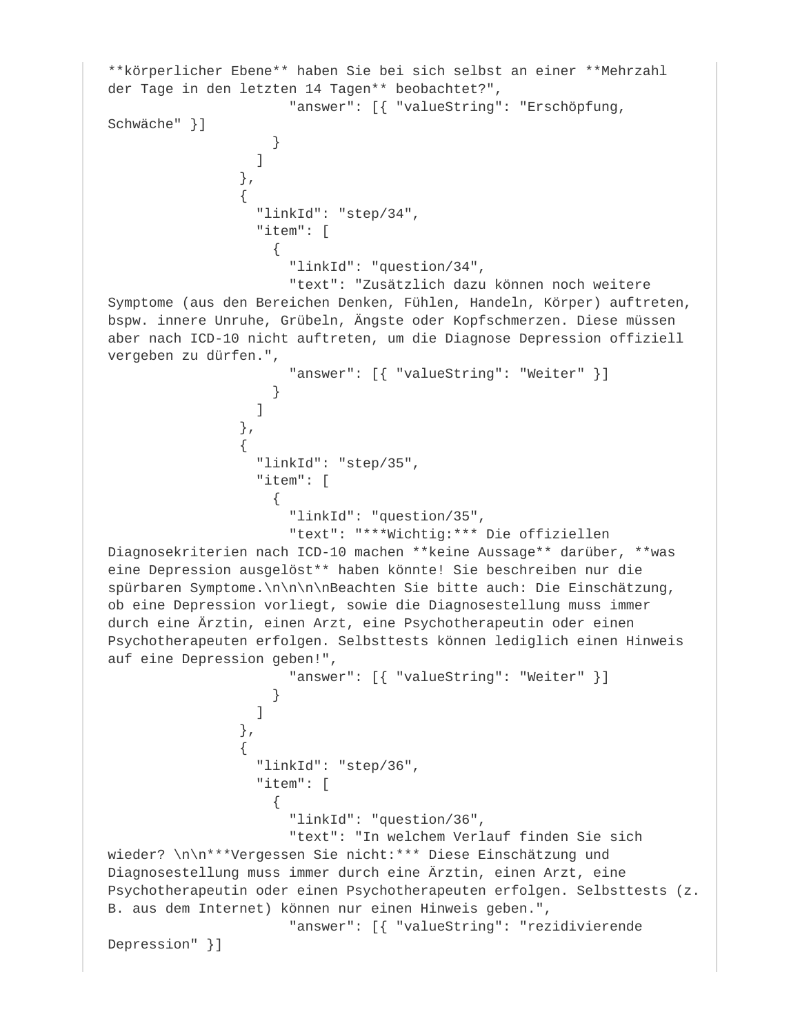```
**körperlicher Ebene** haben Sie bei sich selbst an einer **Mehrzahl 
der Tage in den letzten 14 Tagen** beobachtet?",
                        "answer": [{ "valueString": "Erschöpfung, 
Schwäche" }]
 }
 ]
                 },
\{ "linkId": "step/34",
                   "item": [
\{ "linkId": "question/34",
                        "text": "Zusätzlich dazu können noch weitere 
Symptome (aus den Bereichen Denken, Fühlen, Handeln, Körper) auftreten, 
bspw. innere Unruhe, Grübeln, Ängste oder Kopfschmerzen. Diese müssen 
aber nach ICD-10 nicht auftreten, um die Diagnose Depression offiziell 
vergeben zu dürfen.",
                        "answer": [{ "valueString": "Weiter" }]
 }
design to the control of the control of the control of the control of the control of the control of the control of the control of the control of the control of the control of the control of the control of the control of th
                 },
\{ "linkId": "step/35",
                   "item": [
\{ "linkId": "question/35",
                        "text": "***Wichtig:*** Die offiziellen 
Diagnosekriterien nach ICD-10 machen **keine Aussage** darüber, **was 
eine Depression ausgelöst** haben könnte! Sie beschreiben nur die 
spürbaren Symptome.\n\n\n\nBeachten Sie bitte auch: Die Einschätzung, 
ob eine Depression vorliegt, sowie die Diagnosestellung muss immer 
durch eine Ärztin, einen Arzt, eine Psychotherapeutin oder einen 
Psychotherapeuten erfolgen. Selbsttests können lediglich einen Hinweis 
auf eine Depression geben!",
                        "answer": [{ "valueString": "Weiter" }]
 }
 ]
                 },
\{ "linkId": "step/36",
                   "item": [
\{ "linkId": "question/36",
                        "text": "In welchem Verlauf finden Sie sich 
wieder? \n\n***Vergessen Sie nicht:*** Diese Einschätzung und 
Diagnosestellung muss immer durch eine Ärztin, einen Arzt, eine 
Psychotherapeutin oder einen Psychotherapeuten erfolgen. Selbsttests (z.
B. aus dem Internet) können nur einen Hinweis geben.",
                        "answer": [{ "valueString": "rezidivierende 
Depression" }]
```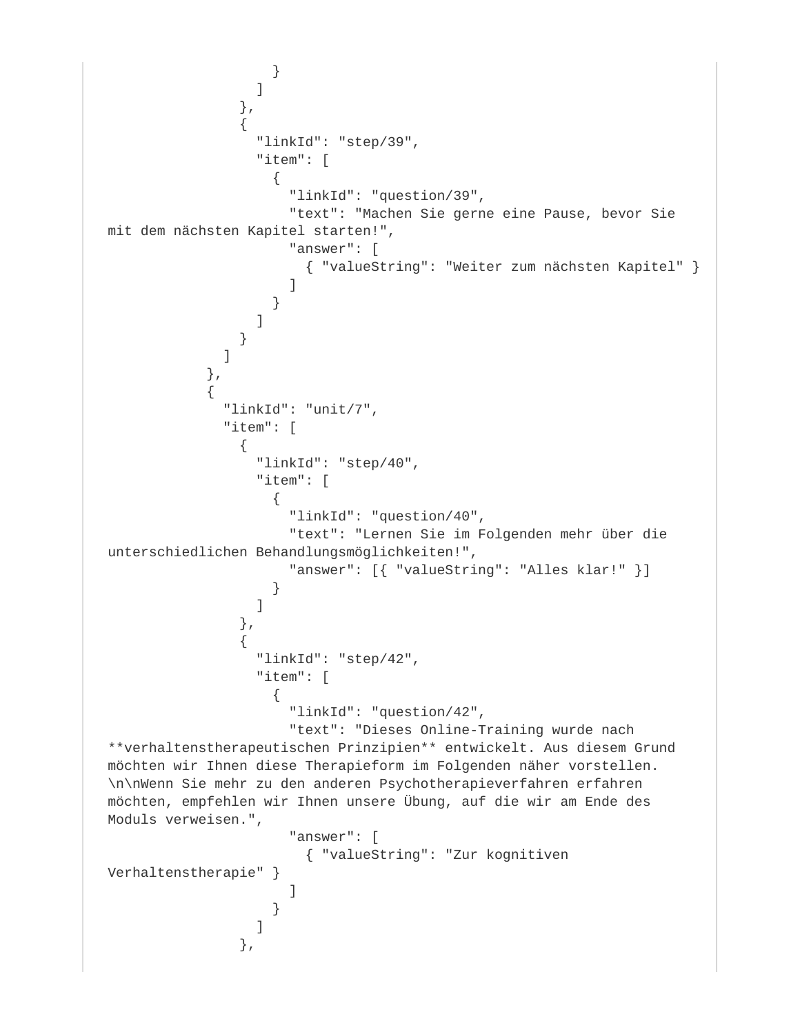```
 }
 ]
                   },
\{ "linkId": "step/39",
                     "item": [
\{ "linkId": "question/39",
                          "text": "Machen Sie gerne eine Pause, bevor Sie 
mit dem nächsten Kapitel starten!",
                          "answer": [
                            { "valueString": "Weiter zum nächsten Kapitel" }
design to the control of the control of the control of the control of the control of the control of the control of
 }
design to the control of the control of the control of the control of the control of the control of the control of the control of the control of the control of the control of the control of the control of the control of th
 }
 ]
              },
\{ "linkId": "unit/7",
                 "item": [
\{ "linkId": "step/40",
                     "item": [
\{ "linkId": "question/40",
                          "text": "Lernen Sie im Folgenden mehr über die 
unterschiedlichen Behandlungsmöglichkeiten!",
                          "answer": [{ "valueString": "Alles klar!" }]
 }
 ]
                   },
\{ "linkId": "step/42",
                     "item": [
\{ "linkId": "question/42",
                          "text": "Dieses Online-Training wurde nach 
**verhaltenstherapeutischen Prinzipien** entwickelt. Aus diesem Grund 
möchten wir Ihnen diese Therapieform im Folgenden näher vorstellen.
\n\nWenn Sie mehr zu den anderen Psychotherapieverfahren erfahren 
möchten, empfehlen wir Ihnen unsere Übung, auf die wir am Ende des 
Moduls verweisen.",
                          "answer": [
                            { "valueString": "Zur kognitiven 
Verhaltenstherapie" }
design to the control of the control of the control of the control of the control of the control of the control of
 }
 ]
                   },
```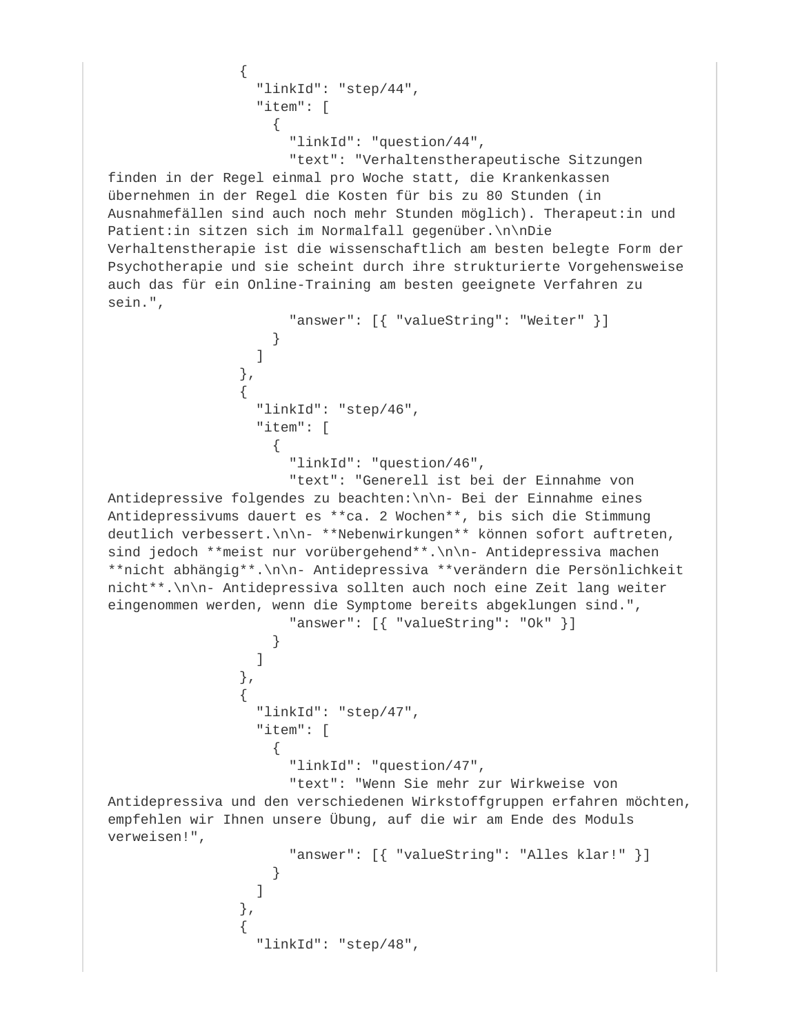```
\{ "linkId": "step/44",
                 "item": [
\{ "linkId": "question/44",
                     "text": "Verhaltenstherapeutische Sitzungen 
finden in der Regel einmal pro Woche statt, die Krankenkassen 
übernehmen in der Regel die Kosten für bis zu 80 Stunden (in 
Ausnahmefällen sind auch noch mehr Stunden möglich). Therapeut:in und 
Patient:in sitzen sich im Normalfall gegenüber.\n\nDie 
Verhaltenstherapie ist die wissenschaftlich am besten belegte Form der 
Psychotherapie und sie scheint durch ihre strukturierte Vorgehensweise 
auch das für ein Online-Training am besten geeignete Verfahren zu 
sein.",
                     "answer": [{ "valueString": "Weiter" }]
 }
 ]
               },
\{ "linkId": "step/46",
                 "item": [
\{ "linkId": "question/46",
                     "text": "Generell ist bei der Einnahme von 
Antidepressive folgendes zu beachten:\n\n- Bei der Einnahme eines 
Antidepressivums dauert es **ca. 2 Wochen**, bis sich die Stimmung 
deutlich verbessert.\n\n- **Nebenwirkungen** können sofort auftreten, 
sind jedoch **meist nur vorübergehend**.\n\n- Antidepressiva machen
**nicht abhängig**.\n\n- Antidepressiva **verändern die Persönlichkeit 
nicht**.\n\n- Antidepressiva sollten auch noch eine Zeit lang weiter 
eingenommen werden, wenn die Symptome bereits abgeklungen sind.",
                    "answer": [{ "valueString": "Ok" }]
 }
 ]
               },
\{ "linkId": "step/47",
                 "item": [
\{ "linkId": "question/47",
                     "text": "Wenn Sie mehr zur Wirkweise von 
Antidepressiva und den verschiedenen Wirkstoffgruppen erfahren möchten, 
empfehlen wir Ihnen unsere Übung, auf die wir am Ende des Moduls 
verweisen!",
                     "answer": [{ "valueString": "Alles klar!" }]
 }
 ]
               },
\{ "linkId": "step/48",
```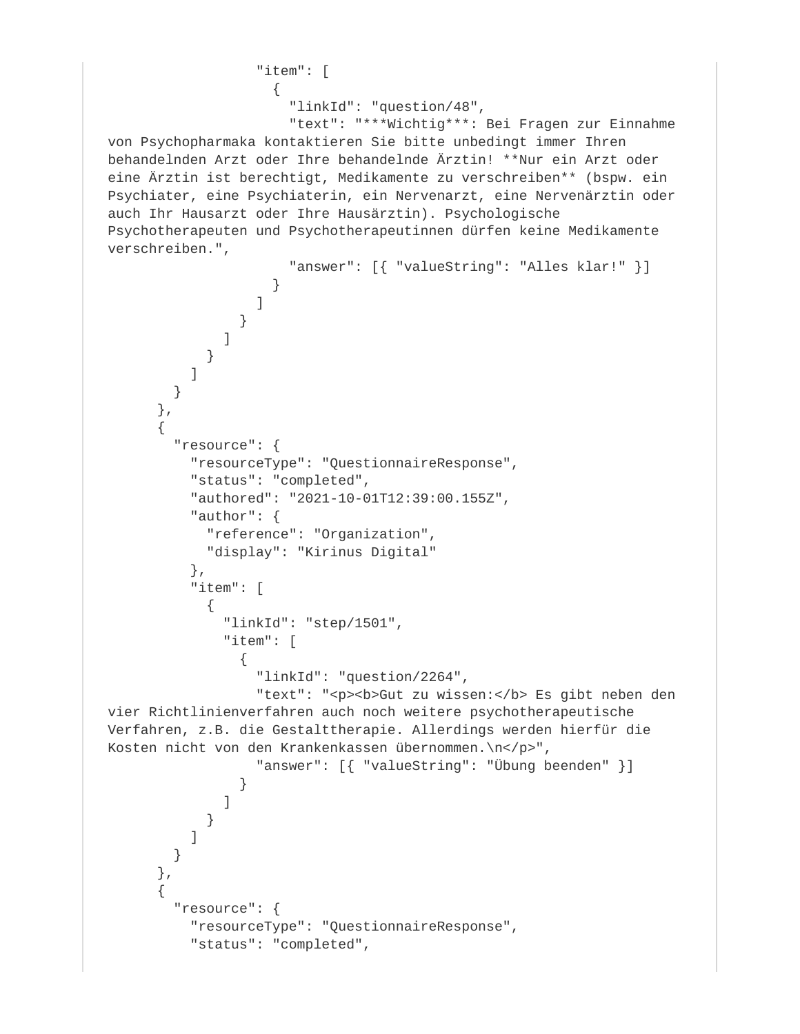```
 "item": [
\{ "linkId": "question/48",
                     "text": "***Wichtig***: Bei Fragen zur Einnahme 
von Psychopharmaka kontaktieren Sie bitte unbedingt immer Ihren 
behandelnden Arzt oder Ihre behandelnde Ärztin! **Nur ein Arzt oder 
eine Ärztin ist berechtigt, Medikamente zu verschreiben** (bspw. ein 
Psychiater, eine Psychiaterin, ein Nervenarzt, eine Nervenärztin oder 
auch Ihr Hausarzt oder Ihre Hausärztin). Psychologische 
Psychotherapeuten und Psychotherapeutinnen dürfen keine Medikamente 
verschreiben.",
                     "answer": [{ "valueString": "Alles klar!" }]
 }
 ]
 }
 ]
 }
 ]
 }
      },
\{ "resource": {
          "resourceType": "QuestionnaireResponse",
          "status": "completed",
          "authored": "2021-10-01T12:39:00.155Z",
          "author": {
            "reference": "Organization",
           "display": "Kirinus Digital"
          },
          "item": [
\{ "linkId": "step/1501",
             "item": [
\{ "linkId": "question/2264",
                "text": "<p><b>Gut zu wissen:</b> Es gibt neben den
vier Richtlinienverfahren auch noch weitere psychotherapeutische 
Verfahren, z.B. die Gestalttherapie. Allerdings werden hierfür die 
Kosten nicht von den Krankenkassen übernommen.\n</p>",
                 "answer": [{ "valueString": "Übung beenden" }]
 }
 ]
 }
 ]
 }
      },
\{ "resource": {
          "resourceType": "QuestionnaireResponse",
          "status": "completed",
```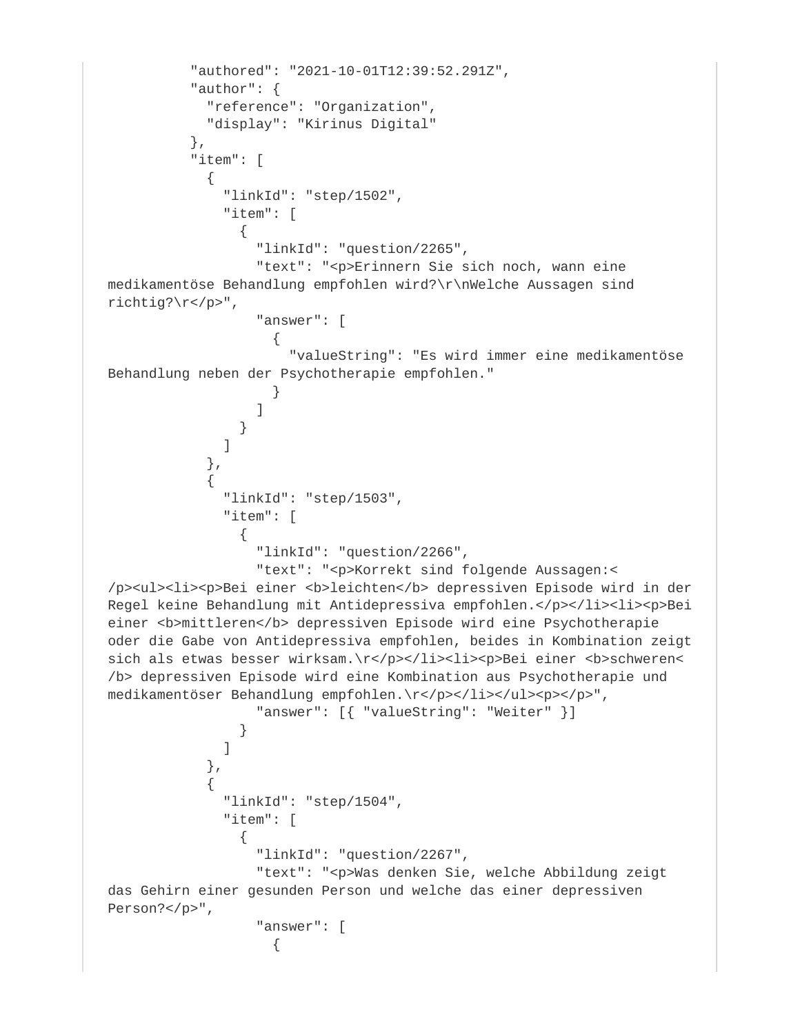```
 "authored": "2021-10-01T12:39:52.291Z",
            "author": {
              "reference": "Organization",
              "display": "Kirinus Digital"
           },
           "item": [
\{ "linkId": "step/1502",
                "item": [
{
                    "linkId": "question/2265",
                    "text": "<p>Erinnern Sie sich noch, wann eine 
medikamentöse Behandlung empfohlen wird?\r\nWelche Aussagen sind 
richtig?\r</p>",
                    "answer": [
\{ "valueString": "Es wird immer eine medikamentöse 
Behandlung neben der Psychotherapie empfohlen."
 }
design to the control of the control of the control of the control of the control of the control of the control of the control of the control of the control of the control of the control of the control of the control of th
 }
 ]
              },
\{ "linkId": "step/1503",
                "item": [
\{ "linkId": "question/2266",
                    "text": "<p>Korrekt sind folgende Aussagen:<
/p><ul><li><p>Bei einer <br/> <br/>b>leichten</b></b><depressiven Episode wird in der
Regel keine Behandlung mit Antidepressiva empfohlen.</p></li><li><p>Bei 
einer <br/> b>mittleren</b> depressiven Episode wird eine Psychotherapie
oder die Gabe von Antidepressiva empfohlen, beides in Kombination zeigt 
sich als etwas besser wirksam.\r</p></li><li><p>>>>>>Bei einer <br/> \verb|s| schweren<
/b> depressiven Episode wird eine Kombination aus Psychotherapie und 
medikamentöser Behandlung empfohlen.\r</p></li></ul><p></p>",
                    "answer": [{ "valueString": "Weiter" }]
 }
 ]
              },
\{ "linkId": "step/1504",
                "item": [
\{ "linkId": "question/2267",
                    "text": "<p>Was denken Sie, welche Abbildung zeigt 
das Gehirn einer gesunden Person und welche das einer depressiven 
Person?</p>",
                    "answer": [
\{
```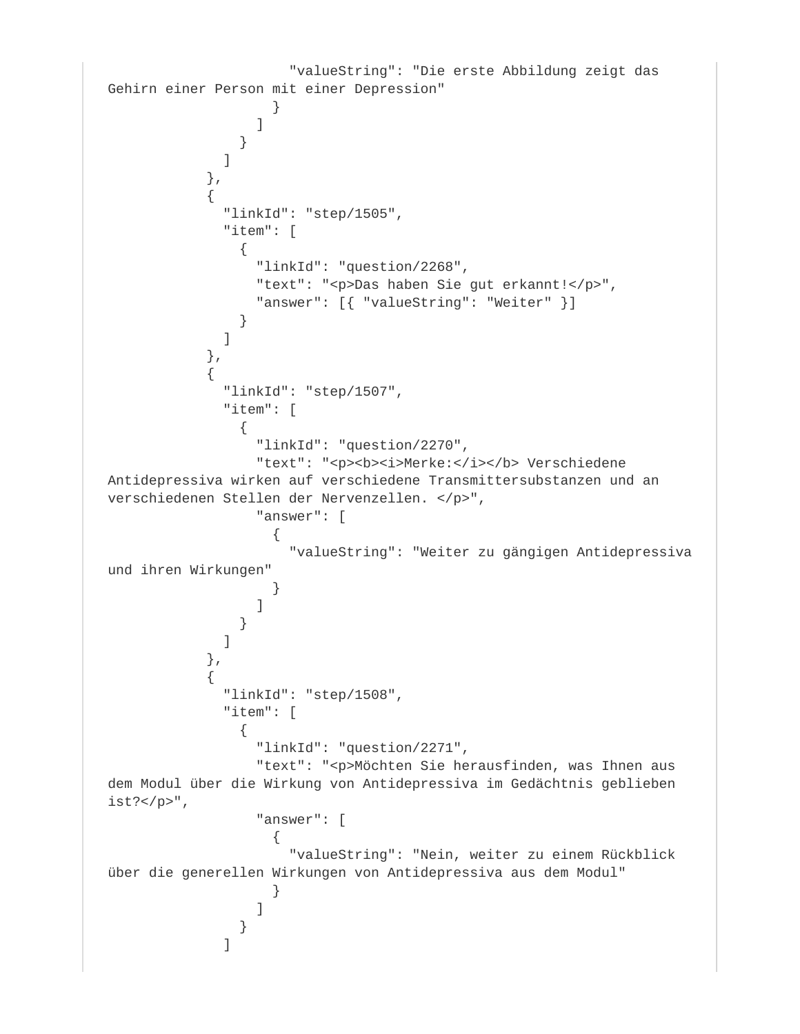```
 "valueString": "Die erste Abbildung zeigt das 
Gehirn einer Person mit einer Depression"
 }
 ]
 }
 ]
          },
\{ "linkId": "step/1505",
            "item": [
\{ "linkId": "question/2268",
              "text": "<p>Das haben Sie gut erkannt!</p>",
              "answer": [{ "valueString": "Weiter" }]
 }
 ]
          },
\{ "linkId": "step/1507",
           "item": [
\{ "linkId": "question/2270",
              "text": "<p><b><i>Merke:</i></b> Verschiedene
Antidepressiva wirken auf verschiedene Transmittersubstanzen und an 
verschiedenen Stellen der Nervenzellen. </p>",
               "answer": [
\{ "valueString": "Weiter zu gängigen Antidepressiva 
und ihren Wirkungen"
 }
 ]
 }
 ]
          },
\{ "linkId": "step/1508",
           "item": [
\{ "linkId": "question/2271",
               "text": "<p>Möchten Sie herausfinden, was Ihnen aus 
dem Modul über die Wirkung von Antidepressiva im Gedächtnis geblieben 
ist?</p>",
               "answer": [
\{ "valueString": "Nein, weiter zu einem Rückblick 
über die generellen Wirkungen von Antidepressiva aus dem Modul"
 }
 ]
 }
 ]
```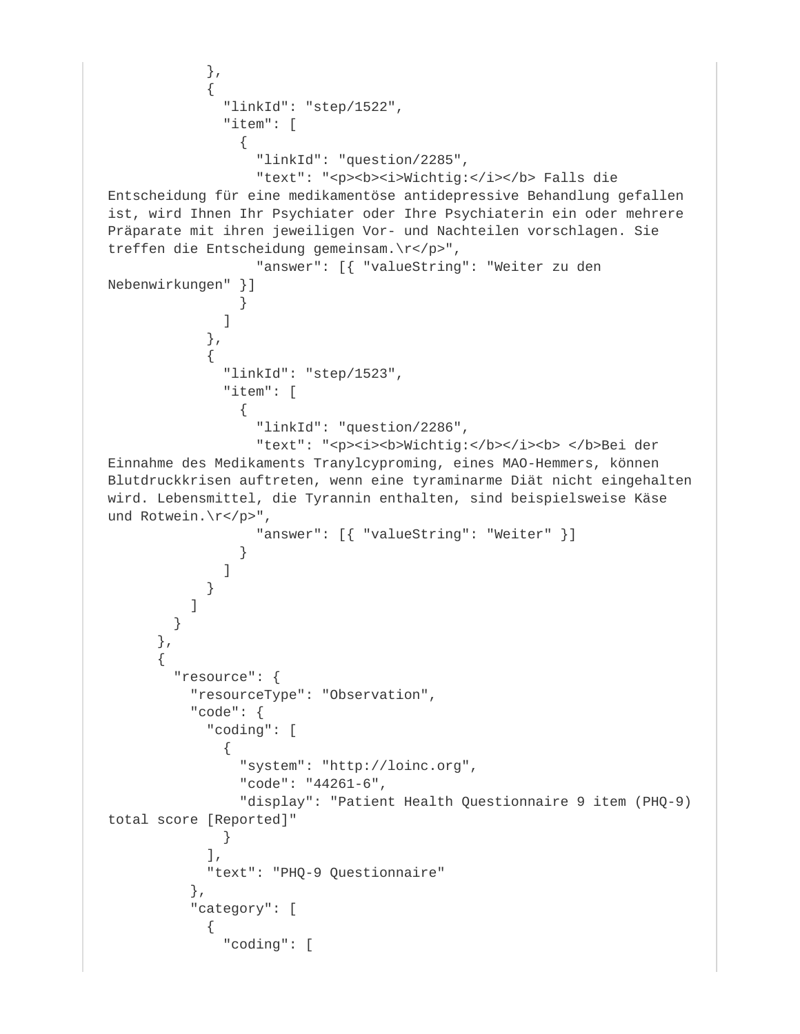```
 },
\{ "linkId": "step/1522",
             "item": [
{
                 "linkId": "question/2285",
                "text": "<p><b><i>Wichtig:</i></b> Falls die
Entscheidung für eine medikamentöse antidepressive Behandlung gefallen 
ist, wird Ihnen Ihr Psychiater oder Ihre Psychiaterin ein oder mehrere 
Präparate mit ihren jeweiligen Vor- und Nachteilen vorschlagen. Sie 
treffen die Entscheidung gemeinsam.\r</p>",
                 "answer": [{ "valueString": "Weiter zu den 
Nebenwirkungen" }]
 }
 ]
            },
\{ "linkId": "step/1523",
              "item": [
{
                 "linkId": "question/2286",
                "text": "<p><i><b>Wichtig:</b></i>>></b>>>>>Bei der
Einnahme des Medikaments Tranylcyproming, eines MAO-Hemmers, können 
Blutdruckkrisen auftreten, wenn eine tyraminarme Diät nicht eingehalten 
wird. Lebensmittel, die Tyrannin enthalten, sind beispielsweise Käse 
und Rotwein.\r</p>",
                 "answer": [{ "valueString": "Weiter" }]
 }
 ]
 }
 ]
 }
      },
\{ "resource": {
          "resourceType": "Observation",
          "code": {
            "coding": [
\{ "system": "http://loinc.org",
               "code": "44261-6",
               "display": "Patient Health Questionnaire 9 item (PHQ-9) 
total score [Reported]"
 }
            ],
            "text": "PHQ-9 Questionnaire"
          },
          "category": [
\{ "coding": [
```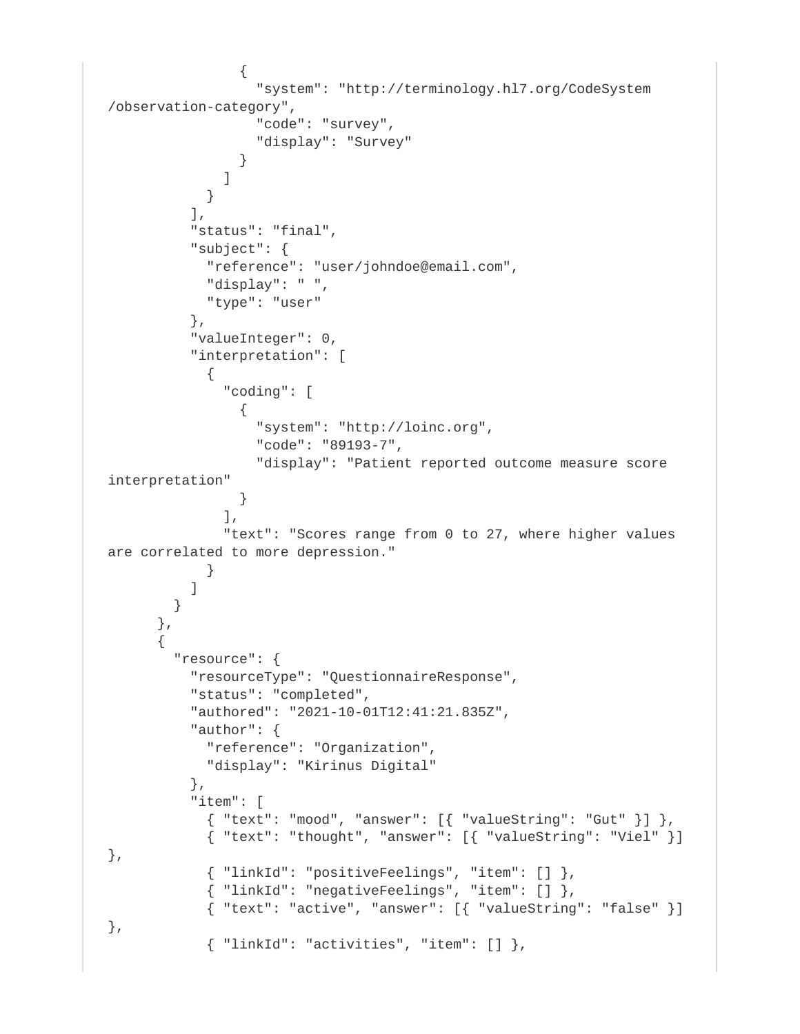```
\{ "system": "http://terminology.hl7.org/CodeSystem
/observation-category",
                  "code": "survey",
                  "display": "Survey"
 }
 ]
 }
         \vert,
          "status": "final",
          "subject": {
            "reference": "user/johndoe@email.com",
            "display": " ",
            "type": "user"
          },
          "valueInteger": 0,
          "interpretation": [
\{ "coding": [
{
                  "system": "http://loinc.org",
                  "code": "89193-7",
                  "display": "Patient reported outcome measure score 
interpretation"
 }
             \vert,
              "text": "Scores range from 0 to 27, where higher values 
are correlated to more depression."
 }
 ]
        }
      },
\{ "resource": {
          "resourceType": "QuestionnaireResponse",
          "status": "completed",
          "authored": "2021-10-01T12:41:21.835Z",
          "author": {
            "reference": "Organization",
            "display": "Kirinus Digital"
          },
          "item": [
           \{ "text": "mood", "answer": [\{ "valueString": "Gut" \}] ,
            { "text": "thought", "answer": [{ "valueString": "Viel" }] 
},
            { "linkId": "positiveFeelings", "item": [] },
            { "linkId": "negativeFeelings", "item": [] },
           \{ "text": "active", "answer": [\{ "valueString": "false" \}]},
           \{ "linkId": "activities", "item": [ ] \},
```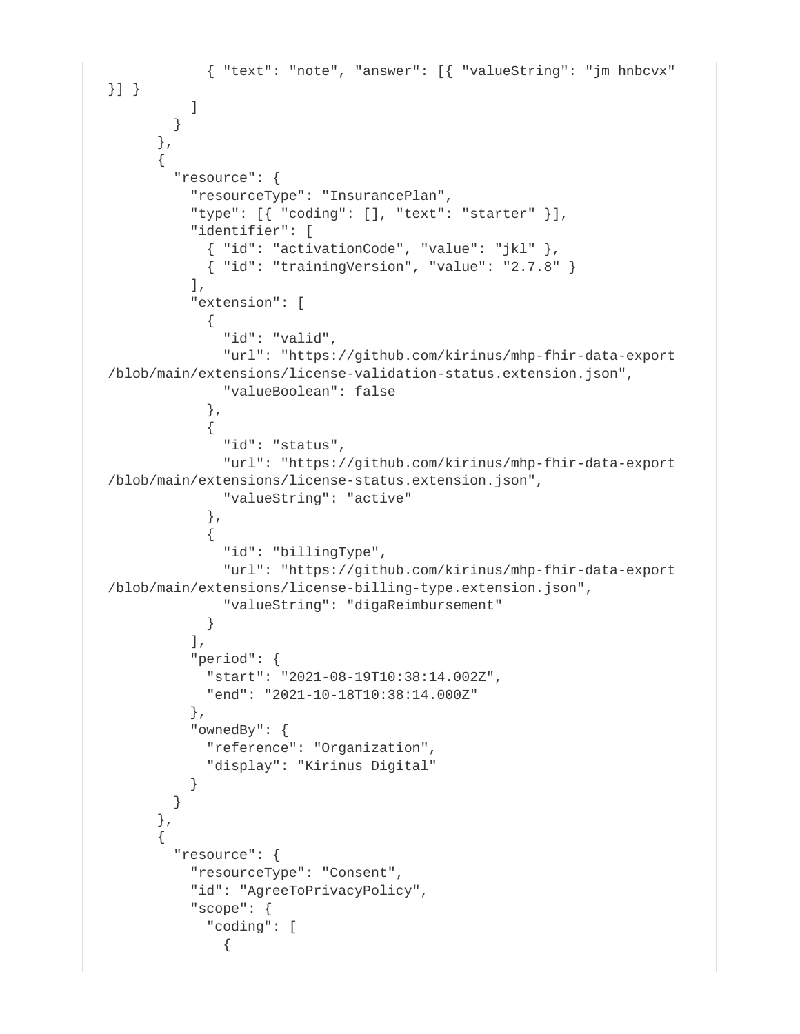```
 { "text": "note", "answer": [{ "valueString": "jm hnbcvx" 
}] }
 ]
        }
       },
\{ "resource": {
          "resourceType": "InsurancePlan",
           "type": [{ "coding": [], "text": "starter" }],
          "identifier": [
            \{ "id": "activationCode", "value": "jkl" },
            { "id": "trainingVersion", "value": "2.7.8" } ],
           "extension": [
\{ "id": "valid",
              "url": "https://github.com/kirinus/mhp-fhir-data-export
/blob/main/extensions/license-validation-status.extension.json",
              "valueBoolean": false
            },
\{ "id": "status",
               "url": "https://github.com/kirinus/mhp-fhir-data-export
/blob/main/extensions/license-status.extension.json",
              "valueString": "active"
            },
\{ "id": "billingType",
               "url": "https://github.com/kirinus/mhp-fhir-data-export
/blob/main/extensions/license-billing-type.extension.json",
              "valueString": "digaReimbursement"
 }
           ],
           "period": {
            "start": "2021-08-19T10:38:14.002Z",
             "end": "2021-10-18T10:38:14.000Z"
           },
           "ownedBy": {
             "reference": "Organization",
            "display": "Kirinus Digital"
 }
         }
       },
\{ "resource": {
           "resourceType": "Consent",
           "id": "AgreeToPrivacyPolicy",
           "scope": {
             "coding": [
\{
```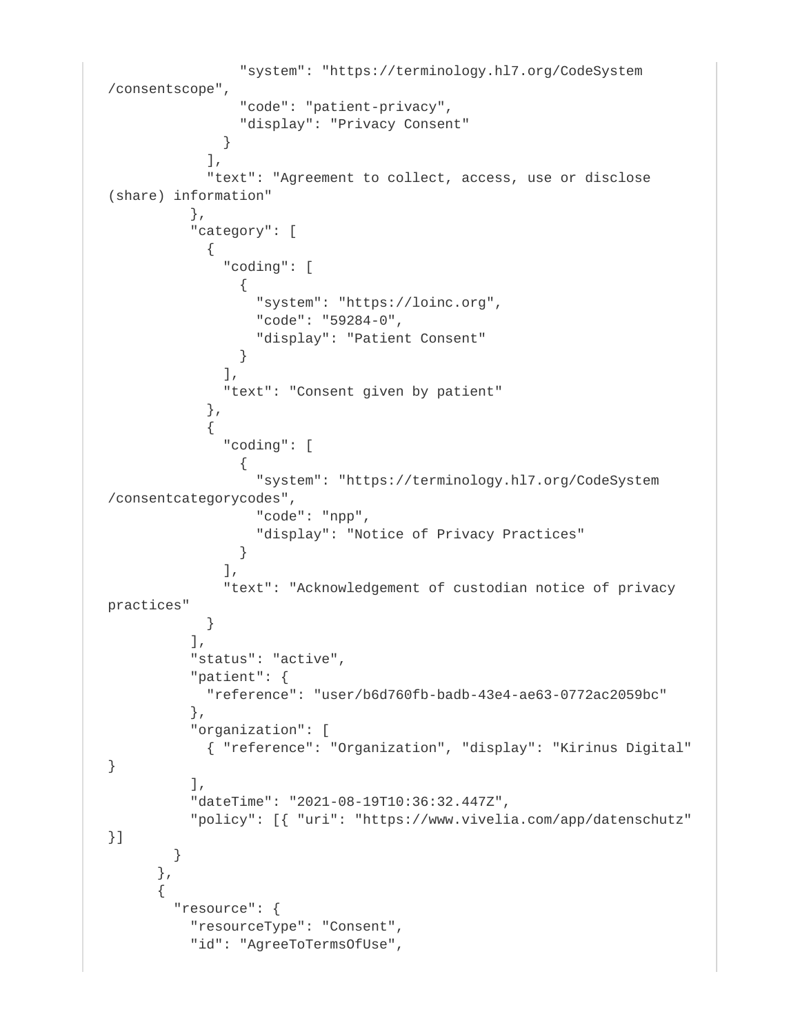```
 "system": "https://terminology.hl7.org/CodeSystem
/consentscope",
                "code": "patient-privacy",
                "display": "Privacy Consent"
 }
            ],
            "text": "Agreement to collect, access, use or disclose 
(share) information"
          },
           "category": [
\{ "coding": [
\{ "system": "https://loinc.org",
                  "code": "59284-0",
                  "display": "Patient Consent"
 }
              ],
              "text": "Consent given by patient"
            },
\{ "coding": [
\{ "system": "https://terminology.hl7.org/CodeSystem
/consentcategorycodes",
                  "code": "npp",
                  "display": "Notice of Privacy Practices"
 }
             \vert,
              "text": "Acknowledgement of custodian notice of privacy 
practices"
 }
          ],
          "status": "active",
          "patient": {
            "reference": "user/b6d760fb-badb-43e4-ae63-0772ac2059bc"
          },
          "organization": [
            { "reference": "Organization", "display": "Kirinus Digital" 
}
         \cdot "dateTime": "2021-08-19T10:36:32.447Z",
          "policy": [{ "uri": "https://www.vivelia.com/app/datenschutz" 
}]
        }
       },
\{ "resource": {
          "resourceType": "Consent",
          "id": "AgreeToTermsOfUse",
```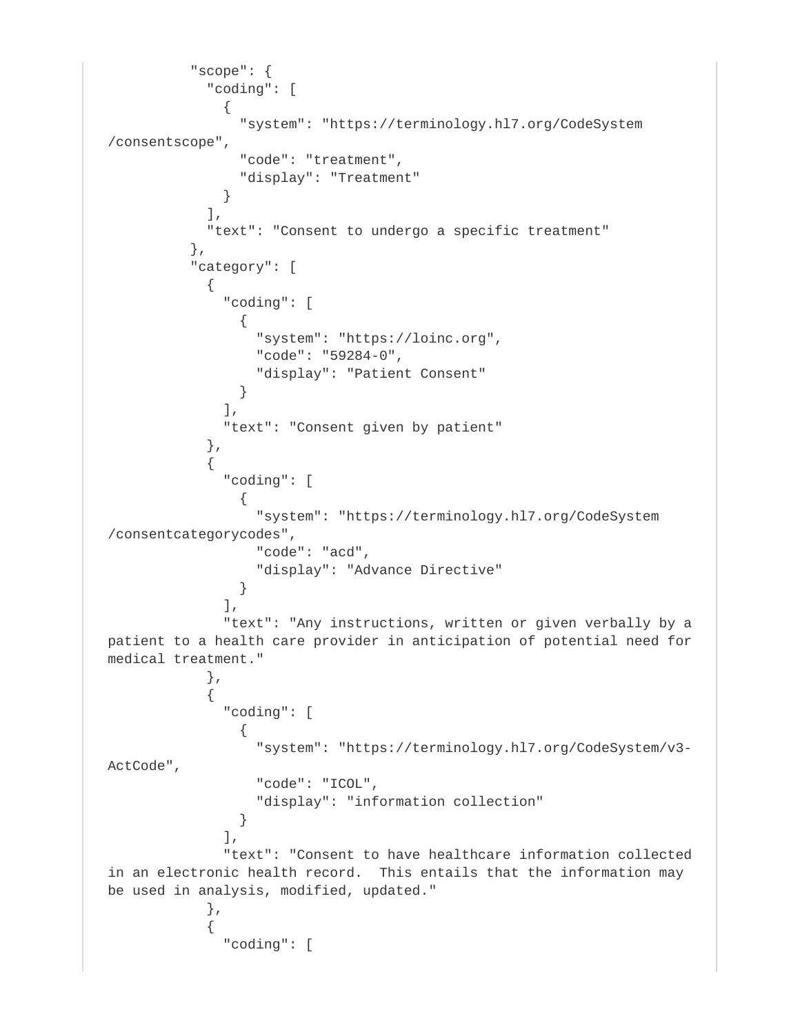```
 "scope": {
            "coding": [
\{ "system": "https://terminology.hl7.org/CodeSystem
/consentscope",
               "code": "treatment",
               "display": "Treatment"
 }
            ],
            "text": "Consent to undergo a specific treatment"
          },
          "category": [
\{ "coding": [
{
                 "system": "https://loinc.org",
                 "code": "59284-0",
                 "display": "Patient Consent"
 }
             \lbrack,
              "text": "Consent given by patient"
            },
\{ "coding": [
{
                 "system": "https://terminology.hl7.org/CodeSystem
/consentcategorycodes",
                 "code": "acd",
                 "display": "Advance Directive"
 }
              ],
              "text": "Any instructions, written or given verbally by a 
patient to a health care provider in anticipation of potential need for 
medical treatment."
            },
\{ "coding": [
\{ "system": "https://terminology.hl7.org/CodeSystem/v3-
ActCode",
                 "code": "ICOL",
                 "display": "information collection"
 }
             \vert,
              "text": "Consent to have healthcare information collected 
in an electronic health record. This entails that the information may 
be used in analysis, modified, updated."
            },
\{ "coding": [
```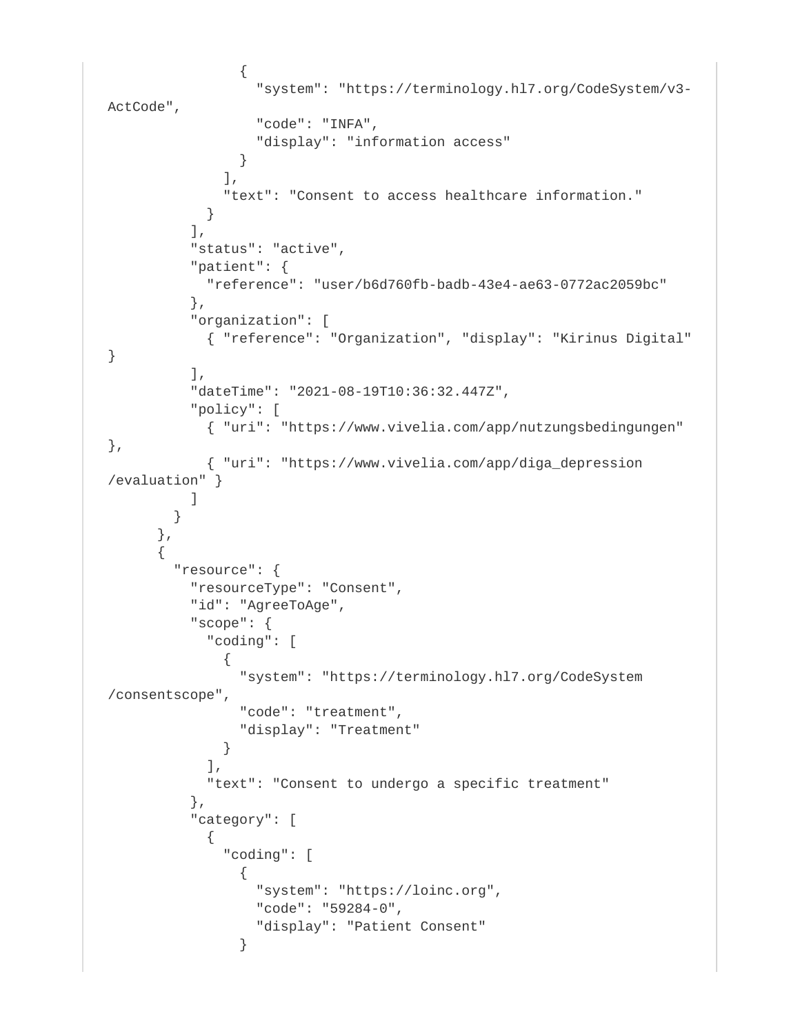```
\{ "system": "https://terminology.hl7.org/CodeSystem/v3-
ActCode",
                  "code": "INFA",
                  "display": "information access"
 }
              ],
              "text": "Consent to access healthcare information."
 }
         \lbrack,
          "status": "active",
          "patient": {
            "reference": "user/b6d760fb-badb-43e4-ae63-0772ac2059bc"
          },
          "organization": [
            { "reference": "Organization", "display": "Kirinus Digital" 
}
         \lbrack,
          "dateTime": "2021-08-19T10:36:32.447Z",
          "policy": [
            { "uri": "https://www.vivelia.com/app/nutzungsbedingungen" 
},
            { "uri": "https://www.vivelia.com/app/diga_depression
/evaluation" }
 ]
 }
      },
\{ "resource": {
          "resourceType": "Consent",
          "id": "AgreeToAge",
          "scope": {
            "coding": [
\{ "system": "https://terminology.hl7.org/CodeSystem
/consentscope",
                "code": "treatment",
                "display": "Treatment"
 }
            ],
            "text": "Consent to undergo a specific treatment"
          },
          "category": [
\{ "coding": [
\{ "system": "https://loinc.org",
                  "code": "59284-0",
                  "display": "Patient Consent"
 }
```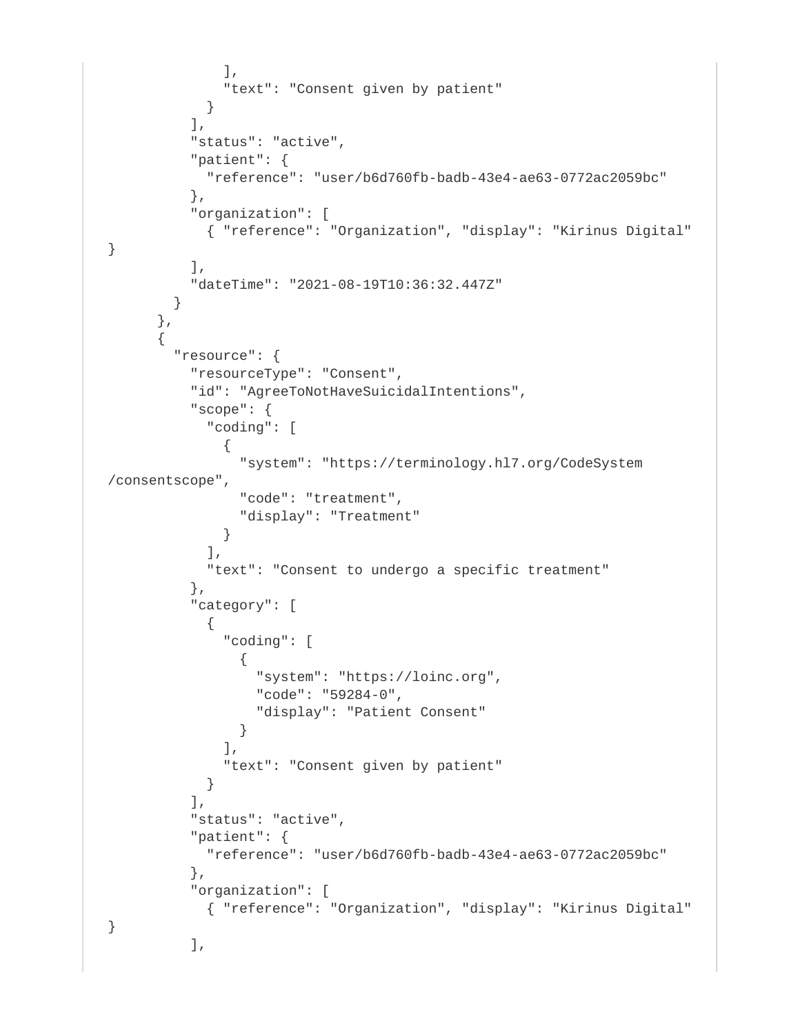```
 ],
              "text": "Consent given by patient"
 }
          ],
          "status": "active",
          "patient": {
            "reference": "user/b6d760fb-badb-43e4-ae63-0772ac2059bc"
          },
          "organization": [
            { "reference": "Organization", "display": "Kirinus Digital" 
}
         \cdot "dateTime": "2021-08-19T10:36:32.447Z"
        }
      },
\{ "resource": {
          "resourceType": "Consent",
          "id": "AgreeToNotHaveSuicidalIntentions",
          "scope": {
            "coding": [
\{ "system": "https://terminology.hl7.org/CodeSystem
/consentscope",
                "code": "treatment",
                "display": "Treatment"
 }
            ],
            "text": "Consent to undergo a specific treatment"
          },
           "category": [
\{ "coding": [
\{ "system": "https://loinc.org",
                  "code": "59284-0",
                  "display": "Patient Consent"
 }
             \,],
              "text": "Consent given by patient"
 }
          ],
           "status": "active",
          "patient": {
            "reference": "user/b6d760fb-badb-43e4-ae63-0772ac2059bc"
          },
          "organization": [
            { "reference": "Organization", "display": "Kirinus Digital" 
}
          ],
```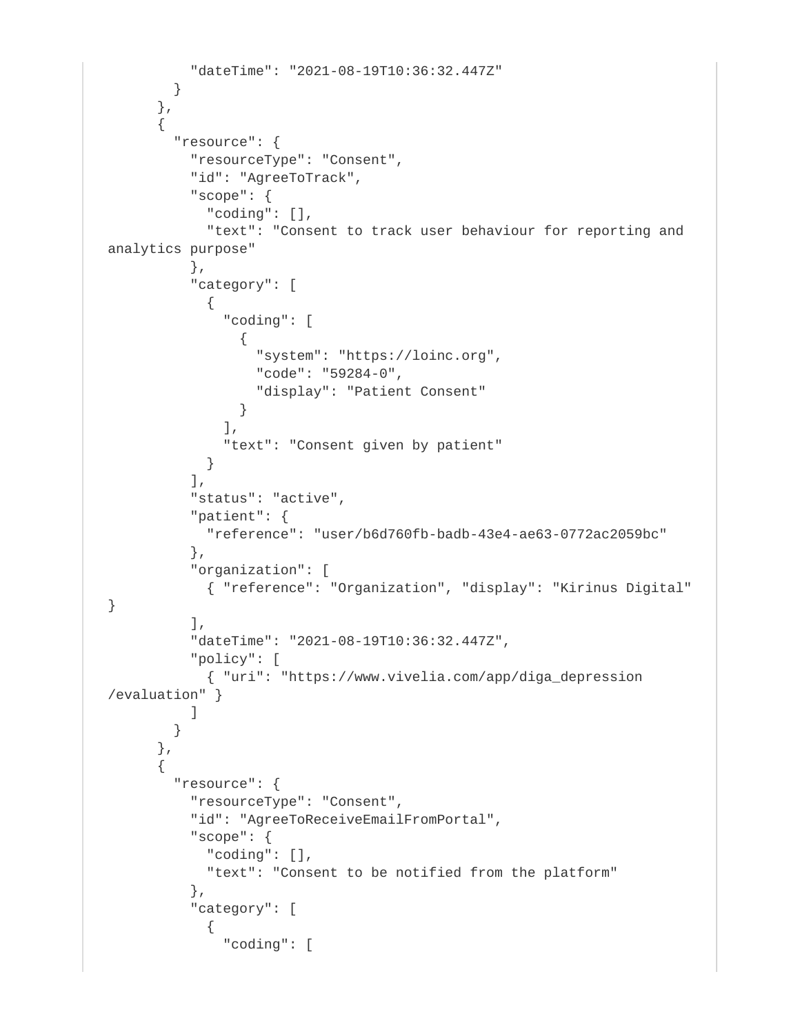```
 "dateTime": "2021-08-19T10:36:32.447Z"
         }
       },
       {
         "resource": {
           "resourceType": "Consent",
           "id": "AgreeToTrack",
           "scope": {
             "coding": [],
             "text": "Consent to track user behaviour for reporting and 
analytics purpose"
           },
           "category": [
\{ "coding": [
\{ "system": "https://loinc.org",
                   "code": "59284-0",
                   "display": "Patient Consent"
 }
              \cdot "text": "Consent given by patient"
 }
           ],
           "status": "active",
           "patient": {
             "reference": "user/b6d760fb-badb-43e4-ae63-0772ac2059bc"
           },
           "organization": [
             { "reference": "Organization", "display": "Kirinus Digital" 
}
          \cdot "dateTime": "2021-08-19T10:36:32.447Z",
           "policy": [
             { "uri": "https://www.vivelia.com/app/diga_depression
/evaluation" }
 ]
         }
       },
\{ "resource": {
           "resourceType": "Consent",
           "id": "AgreeToReceiveEmailFromPortal",
           "scope": {
             "coding": [],
             "text": "Consent to be notified from the platform"
           },
           "category": [
\{ "coding": [
```